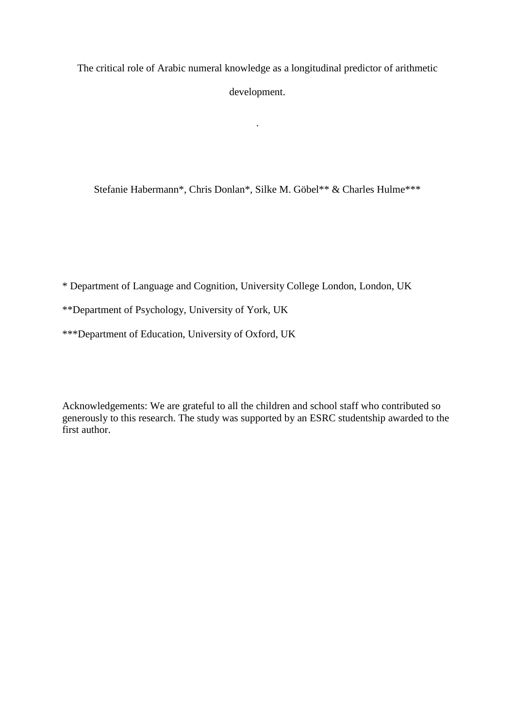The critical role of Arabic numeral knowledge as a longitudinal predictor of arithmetic development.

.

Stefanie Habermann\*, Chris Donlan\*, Silke M. Göbel\*\* & Charles Hulme\*\*\*

\* Department of Language and Cognition, University College London, London, UK

Acknowledgements: We are grateful to all the children and school staff who contributed so generously to this research. The study was supported by an ESRC studentship awarded to the first author.

<sup>\*\*</sup>Department of Psychology, University of York, UK

<sup>\*\*\*</sup>Department of Education, University of Oxford, UK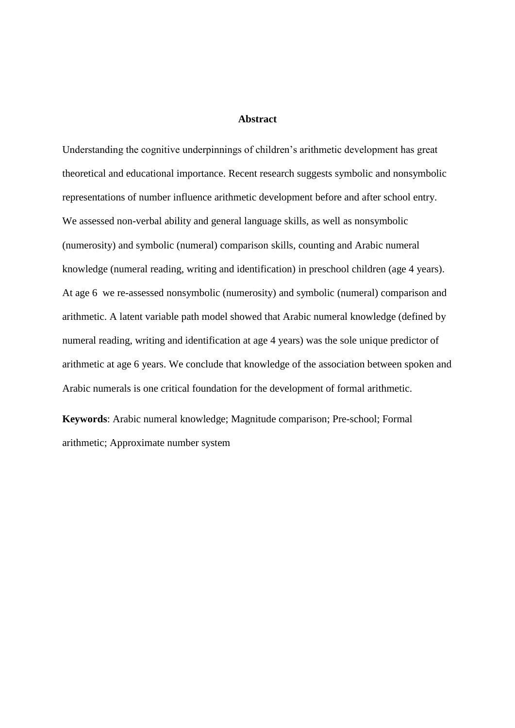# **Abstract**

Understanding the cognitive underpinnings of children's arithmetic development has great theoretical and educational importance. Recent research suggests symbolic and nonsymbolic representations of number influence arithmetic development before and after school entry. We assessed non-verbal ability and general language skills, as well as nonsymbolic (numerosity) and symbolic (numeral) comparison skills, counting and Arabic numeral knowledge (numeral reading, writing and identification) in preschool children (age 4 years). At age 6 we re-assessed nonsymbolic (numerosity) and symbolic (numeral) comparison and arithmetic. A latent variable path model showed that Arabic numeral knowledge (defined by numeral reading, writing and identification at age 4 years) was the sole unique predictor of arithmetic at age 6 years. We conclude that knowledge of the association between spoken and Arabic numerals is one critical foundation for the development of formal arithmetic.

**Keywords**: Arabic numeral knowledge; Magnitude comparison; Pre-school; Formal arithmetic; Approximate number system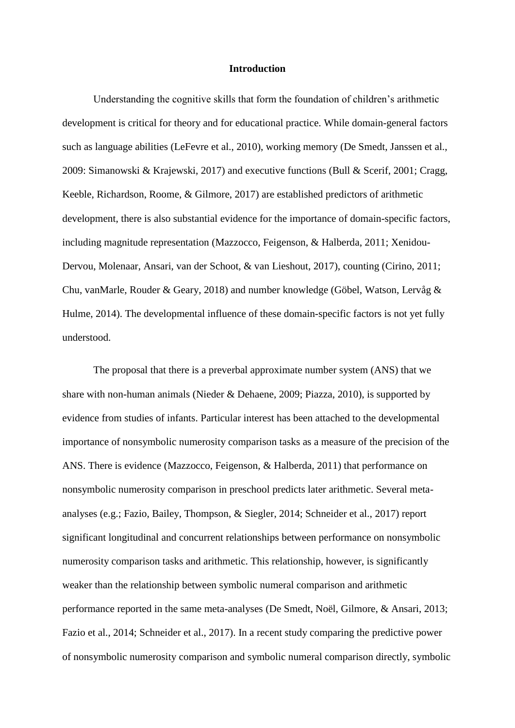#### **Introduction**

Understanding the cognitive skills that form the foundation of children's arithmetic development is critical for theory and for educational practice. While domain-general factors such as language abilities [\(LeFevre et al., 2010\),](https://paperpile.com/c/eByh91/b73r) working memory (De Smedt, Janssen et al., 2009: Simanowski & Krajewski, 2017) and executive functions [\(Bull & Scerif, 2001;](https://paperpile.com/c/eByh91/cdfg+ldi8) Cragg, Keeble, Richardson, Roome, & Gilmore, 2017) are established predictors of arithmetic development, there is also substantial evidence for the importance of domain-specific factors, including magnitude representation (Mazzocco, Feigenson, & Halberda, 2011; Xenidou-Dervou, Molenaar, Ansari, van der Schoot, & van Lieshout, 2017), counting (Cirino, 2011; Chu, vanMarle, Rouder & Geary, 2018) and number knowledge (Göbel, Watson, Lervåg & Hulme, 2014). The developmental influence of these domain-specific factors is not yet fully understood.

The proposal that there is a preverbal approximate number system (ANS) that we share with non-human animals [\(Nieder & Dehaene, 2009; Piazza, 2010\),](https://paperpile.com/c/eByh91/zZx4+uxcl+tnH1) is supported by evidence from studies of infants. Particular interest has been attached to the developmental importance of nonsymbolic numerosity comparison tasks as a measure of the precision of the ANS. There is evidence [\(Mazzocco, Feigenson, &](https://paperpile.com/c/eByh91/41k9+9NR3) Halberda, 2011) that performance on nonsymbolic numerosity comparison in preschool predicts later arithmetic. Several metaanalyses [\(e.g.; Fazio, Bailey, Thompson, & Siegler, 2014; Schneider et al., 2017\)](https://paperpile.com/c/eByh91/HuSs+yt3O+IcUy) report significant longitudinal and concurrent relationships between performance on nonsymbolic numerosity comparison tasks and arithmetic. This relationship, however, is significantly weaker than the relationship between symbolic numeral comparison and arithmetic performance reported in the same meta-analyses [\(De Smedt, Noël, Gilmore, & Ansari, 2013;](https://paperpile.com/c/eByh91/IcUy+jkXb+yt3O)  [Fazio et al., 2014; Schneider et al., 2017\).](https://paperpile.com/c/eByh91/IcUy+jkXb+yt3O) In a recent study comparing the predictive power of nonsymbolic numerosity comparison and symbolic numeral comparison directly, symbolic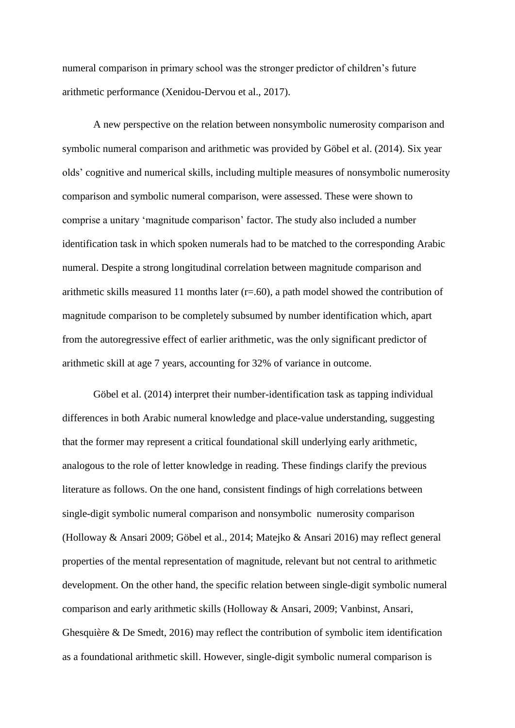numeral comparison in primary school was the stronger predictor of children's future arithmetic performance [\(Xenidou-Dervou et al., 2017\).](https://paperpile.com/c/eByh91/41k9)

A new perspective on the relation between nonsymbolic numerosity comparison and symbolic numeral comparison and arithmetic was provided by Göbel et al. (2014). Six year olds' cognitive and numerical skills, including multiple measures of nonsymbolic numerosity comparison and symbolic numeral comparison, were assessed. These were shown to comprise a unitary 'magnitude comparison' factor. The study also included a number identification task in which spoken numerals had to be matched to the corresponding Arabic numeral. Despite a strong longitudinal correlation between magnitude comparison and arithmetic skills measured 11 months later  $(r=.60)$ , a path model showed the contribution of magnitude comparison to be completely subsumed by number identification which, apart from the autoregressive effect of earlier arithmetic, was the only significant predictor of arithmetic skill at age 7 years, accounting for 32% of variance in outcome.

Göbel et al. (2014) interpret their number-identification task as tapping individual differences in both Arabic numeral knowledge and place-value understanding, suggesting that the former may represent a critical foundational skill underlying early arithmetic, analogous to the role of letter knowledge in reading. These findings clarify the previous literature as follows. On the one hand, consistent findings of high correlations between single-digit symbolic numeral comparison and nonsymbolic numerosity comparison (Holloway & Ansari 2009; Göbel et al., 2014; Matejko & Ansari 2016) may reflect general properties of the mental representation of magnitude, relevant but not central to arithmetic development. On the other hand, the specific relation between single-digit symbolic numeral comparison and early arithmetic skills (Holloway & Ansari, 2009; Vanbinst, Ansari, Ghesquière & De Smedt, 2016) may reflect the contribution of symbolic item identification as a foundational arithmetic skill. However, single-digit symbolic numeral comparison is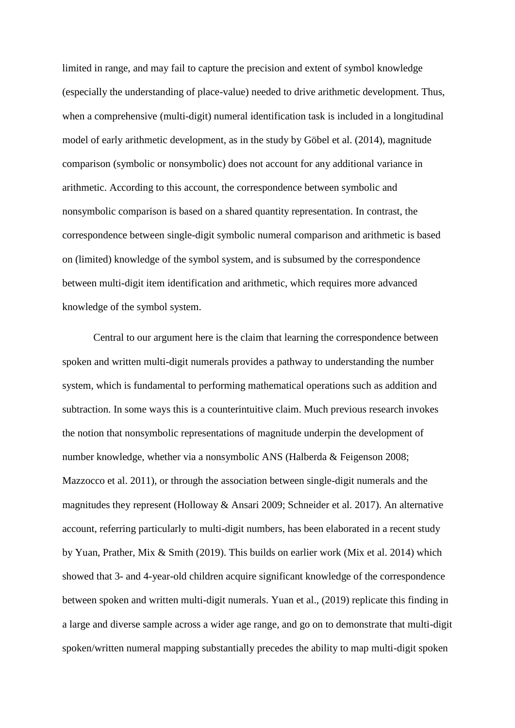limited in range, and may fail to capture the precision and extent of symbol knowledge (especially the understanding of place-value) needed to drive arithmetic development. Thus, when a comprehensive (multi-digit) numeral identification task is included in a longitudinal model of early arithmetic development, as in the study by Göbel et al. (2014), magnitude comparison (symbolic or nonsymbolic) does not account for any additional variance in arithmetic. According to this account, the correspondence between symbolic and nonsymbolic comparison is based on a shared quantity representation. In contrast, the correspondence between single-digit symbolic numeral comparison and arithmetic is based on (limited) knowledge of the symbol system, and is subsumed by the correspondence between multi-digit item identification and arithmetic, which requires more advanced knowledge of the symbol system.

Central to our argument here is the claim that learning the correspondence between spoken and written multi-digit numerals provides a pathway to understanding the number system, which is fundamental to performing mathematical operations such as addition and subtraction. In some ways this is a counterintuitive claim. Much previous research invokes the notion that nonsymbolic representations of magnitude underpin the development of number knowledge, whether via a nonsymbolic ANS (Halberda & Feigenson 2008; Mazzocco et al. 2011), or through the association between single-digit numerals and the magnitudes they represent (Holloway & Ansari 2009; Schneider et al. 2017). An alternative account, referring particularly to multi-digit numbers, has been elaborated in a recent study by Yuan, Prather, Mix & Smith (2019). This builds on earlier work (Mix et al. 2014) which showed that 3- and 4-year-old children acquire significant knowledge of the correspondence between spoken and written multi-digit numerals. Yuan et al., (2019) replicate this finding in a large and diverse sample across a wider age range, and go on to demonstrate that multi-digit spoken/written numeral mapping substantially precedes the ability to map multi-digit spoken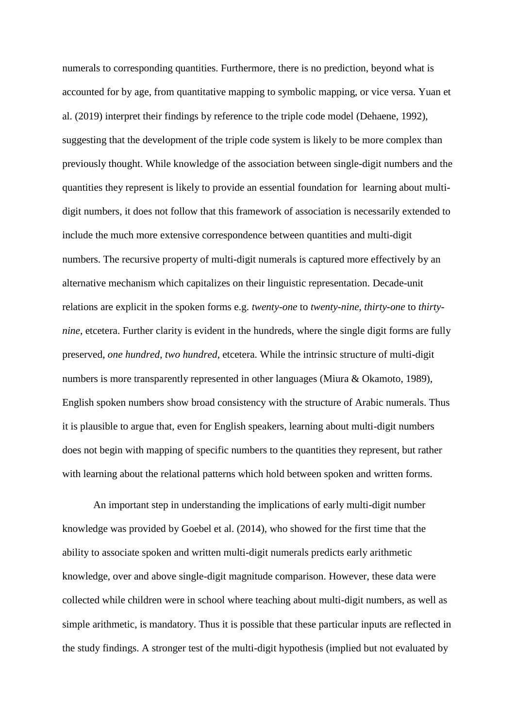numerals to corresponding quantities. Furthermore, there is no prediction, beyond what is accounted for by age, from quantitative mapping to symbolic mapping, or vice versa. Yuan et al. (2019) interpret their findings by reference to the triple code model (Dehaene, 1992), suggesting that the development of the triple code system is likely to be more complex than previously thought. While knowledge of the association between single-digit numbers and the quantities they represent is likely to provide an essential foundation for learning about multidigit numbers, it does not follow that this framework of association is necessarily extended to include the much more extensive correspondence between quantities and multi-digit numbers. The recursive property of multi-digit numerals is captured more effectively by an alternative mechanism which capitalizes on their linguistic representation. Decade-unit relations are explicit in the spoken forms e.g. *twenty-one* to *twenty-nine*, *thirty-one* to *thirtynine*, etcetera. Further clarity is evident in the hundreds, where the single digit forms are fully preserved, *one hundred*, *two hundred*, etcetera. While the intrinsic structure of multi-digit numbers is more transparently represented in other languages (Miura & Okamoto, 1989), English spoken numbers show broad consistency with the structure of Arabic numerals. Thus it is plausible to argue that, even for English speakers, learning about multi-digit numbers does not begin with mapping of specific numbers to the quantities they represent, but rather with learning about the relational patterns which hold between spoken and written forms.

An important step in understanding the implications of early multi-digit number knowledge was provided by Goebel et al. (2014), who showed for the first time that the ability to associate spoken and written multi-digit numerals predicts early arithmetic knowledge, over and above single-digit magnitude comparison. However, these data were collected while children were in school where teaching about multi-digit numbers, as well as simple arithmetic, is mandatory. Thus it is possible that these particular inputs are reflected in the study findings. A stronger test of the multi-digit hypothesis (implied but not evaluated by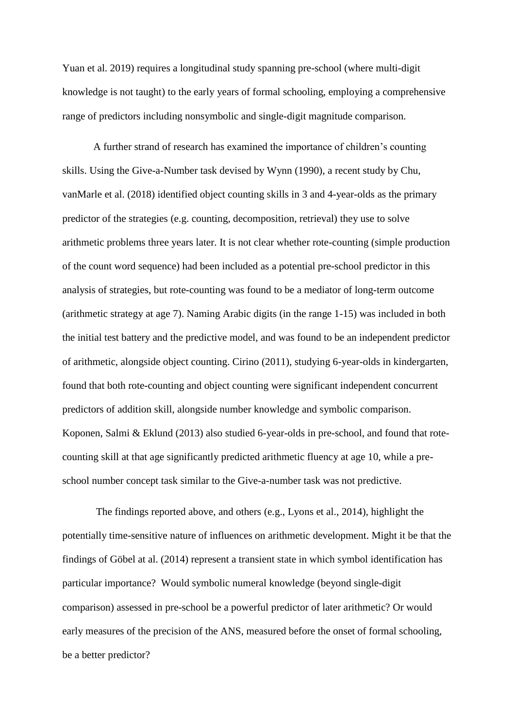Yuan et al. 2019) requires a longitudinal study spanning pre-school (where multi-digit knowledge is not taught) to the early years of formal schooling, employing a comprehensive range of predictors including nonsymbolic and single-digit magnitude comparison.

A further strand of research has examined the importance of children's counting skills. Using the Give-a-Number task devised by Wynn (1990), a recent study by Chu, vanMarle et al. (2018) identified object counting skills in 3 and 4-year-olds as the primary predictor of the strategies (e.g. counting, decomposition, retrieval) they use to solve arithmetic problems three years later. It is not clear whether rote-counting (simple production of the count word sequence) had been included as a potential pre-school predictor in this analysis of strategies, but rote-counting was found to be a mediator of long-term outcome (arithmetic strategy at age 7). Naming Arabic digits (in the range 1-15) was included in both the initial test battery and the predictive model, and was found to be an independent predictor of arithmetic, alongside object counting. Cirino (2011), studying 6-year-olds in kindergarten, found that both rote-counting and object counting were significant independent concurrent predictors of addition skill, alongside number knowledge and symbolic comparison. Koponen, Salmi & Eklund (2013) also studied 6-year-olds in pre-school, and found that rotecounting skill at that age significantly predicted arithmetic fluency at age 10, while a preschool number concept task similar to the Give-a-number task was not predictive.

The findings reported above, and others (e.g., Lyons et al., 2014), highlight the potentially time-sensitive nature of influences on arithmetic development. Might it be that the findings of Göbel at al. (2014) represent a transient state in which symbol identification has particular importance? Would symbolic numeral knowledge (beyond single-digit comparison) assessed in pre-school be a powerful predictor of later arithmetic? Or would early measures of the precision of the ANS, measured before the onset of formal schooling, be a better predictor?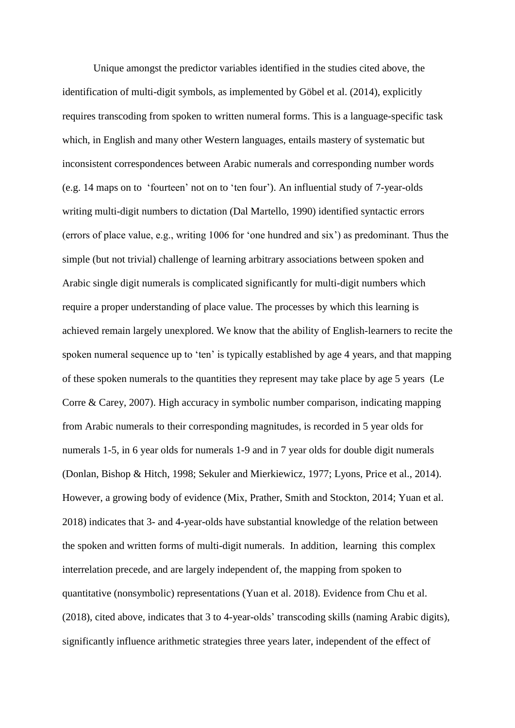Unique amongst the predictor variables identified in the studies cited above, the identification of multi-digit symbols, as implemented by Göbel et al. (2014), explicitly requires transcoding from spoken to written numeral forms. This is a language-specific task which, in English and many other Western languages, entails mastery of systematic but inconsistent correspondences between Arabic numerals and corresponding number words (e.g. 14 maps on to 'fourteen' not on to 'ten four'). An influential study of 7-year-olds writing multi-digit numbers to dictation (Dal Martello, 1990) identified syntactic errors (errors of place value, e.g., writing 1006 for 'one hundred and six') as predominant. Thus the simple (but not trivial) challenge of learning arbitrary associations between spoken and Arabic single digit numerals is complicated significantly for multi-digit numbers which require a proper understanding of place value. The processes by which this learning is achieved remain largely unexplored. We know that the ability of English-learners to recite the spoken numeral sequence up to 'ten' is typically established by age 4 years, and that mapping of these spoken numerals to the quantities they represent may take place by age 5 years (Le Corre & Carey, 2007). High accuracy in symbolic number comparison, indicating mapping from Arabic numerals to their corresponding magnitudes, is recorded in 5 year olds for numerals 1-5, in 6 year olds for numerals 1-9 and in 7 year olds for double digit numerals (Donlan, Bishop & Hitch, 1998; Sekuler and Mierkiewicz, 1977; Lyons, Price et al., 2014). However, a growing body of evidence (Mix, Prather, Smith and Stockton, 2014; Yuan et al. 2018) indicates that 3- and 4-year-olds have substantial knowledge of the relation between the spoken and written forms of multi-digit numerals. In addition, learning this complex interrelation precede, and are largely independent of, the mapping from spoken to quantitative (nonsymbolic) representations (Yuan et al. 2018). Evidence from Chu et al. (2018), cited above, indicates that 3 to 4-year-olds' transcoding skills (naming Arabic digits), significantly influence arithmetic strategies three years later, independent of the effect of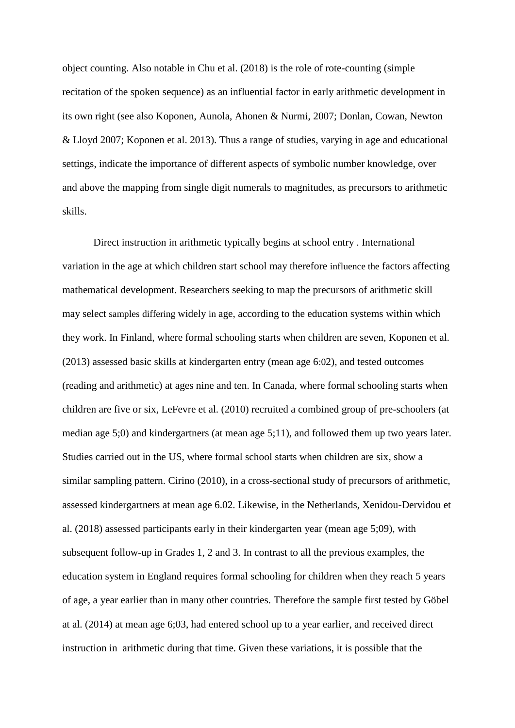object counting. Also notable in Chu et al. (2018) is the role of rote-counting (simple recitation of the spoken sequence) as an influential factor in early arithmetic development in its own right (see also Koponen, Aunola, Ahonen & Nurmi, 2007; Donlan, Cowan, Newton & Lloyd 2007; Koponen et al. 2013). Thus a range of studies, varying in age and educational settings, indicate the importance of different aspects of symbolic number knowledge, over and above the mapping from single digit numerals to magnitudes, as precursors to arithmetic skills.

Direct instruction in arithmetic typically begins at school entry . International variation in the age at which children start school may therefore influence the factors affecting mathematical development. Researchers seeking to map the precursors of arithmetic skill may select samples differing widely in age, according to the education systems within which they work. In Finland, where formal schooling starts when children are seven, Koponen et al. (2013) assessed basic skills at kindergarten entry (mean age 6:02), and tested outcomes (reading and arithmetic) at ages nine and ten. In Canada, where formal schooling starts when children are five or six, LeFevre et al. (2010) recruited a combined group of pre-schoolers (at median age 5;0) and kindergartners (at mean age 5;11), and followed them up two years later. Studies carried out in the US, where formal school starts when children are six, show a similar sampling pattern. Cirino (2010), in a cross-sectional study of precursors of arithmetic, assessed kindergartners at mean age 6.02. Likewise, in the Netherlands, Xenidou-Dervidou et al. (2018) assessed participants early in their kindergarten year (mean age 5;09), with subsequent follow-up in Grades 1, 2 and 3. In contrast to all the previous examples, the education system in England requires formal schooling for children when they reach 5 years of age, a year earlier than in many other countries. Therefore the sample first tested by Göbel at al. (2014) at mean age 6;03, had entered school up to a year earlier, and received direct instruction in arithmetic during that time. Given these variations, it is possible that the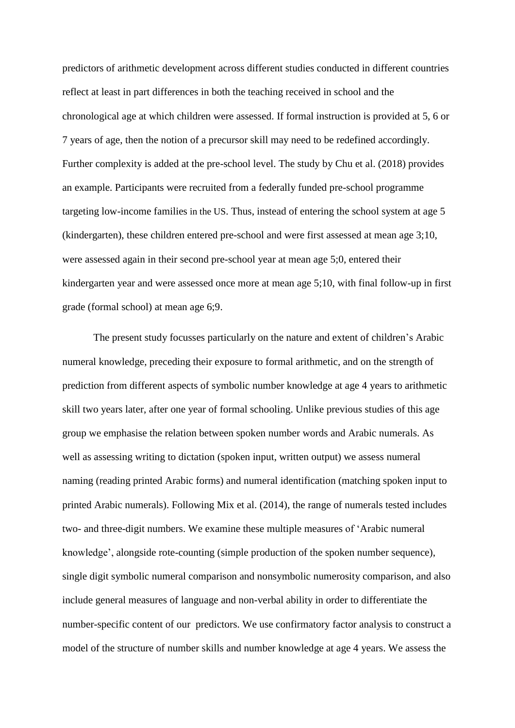predictors of arithmetic development across different studies conducted in different countries reflect at least in part differences in both the teaching received in school and the chronological age at which children were assessed. If formal instruction is provided at 5, 6 or 7 years of age, then the notion of a precursor skill may need to be redefined accordingly. Further complexity is added at the pre-school level. The study by Chu et al. (2018) provides an example. Participants were recruited from a federally funded pre-school programme targeting low-income families in the US. Thus, instead of entering the school system at age 5 (kindergarten), these children entered pre-school and were first assessed at mean age 3;10, were assessed again in their second pre-school year at mean age 5;0, entered their kindergarten year and were assessed once more at mean age 5;10, with final follow-up in first grade (formal school) at mean age 6;9.

The present study focusses particularly on the nature and extent of children's Arabic numeral knowledge, preceding their exposure to formal arithmetic, and on the strength of prediction from different aspects of symbolic number knowledge at age 4 years to arithmetic skill two years later, after one year of formal schooling. Unlike previous studies of this age group we emphasise the relation between spoken number words and Arabic numerals. As well as assessing writing to dictation (spoken input, written output) we assess numeral naming (reading printed Arabic forms) and numeral identification (matching spoken input to printed Arabic numerals). Following Mix et al. (2014), the range of numerals tested includes two- and three-digit numbers. We examine these multiple measures of 'Arabic numeral knowledge', alongside rote-counting (simple production of the spoken number sequence), single digit symbolic numeral comparison and nonsymbolic numerosity comparison, and also include general measures of language and non-verbal ability in order to differentiate the number-specific content of our predictors. We use confirmatory factor analysis to construct a model of the structure of number skills and number knowledge at age 4 years. We assess the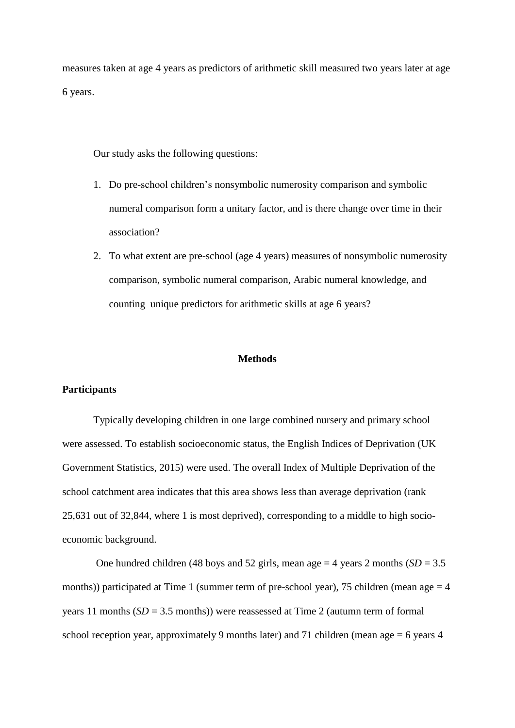measures taken at age 4 years as predictors of arithmetic skill measured two years later at age 6 years.

Our study asks the following questions:

- 1. Do pre-school children's nonsymbolic numerosity comparison and symbolic numeral comparison form a unitary factor, and is there change over time in their association?
- 2. To what extent are pre-school (age 4 years) measures of nonsymbolic numerosity comparison, symbolic numeral comparison, Arabic numeral knowledge, and counting unique predictors for arithmetic skills at age 6 years?

# **Methods**

#### **Participants**

Typically developing children in one large combined nursery and primary school were assessed. To establish socioeconomic status, the English Indices of Deprivation (UK Government Statistics, 2015) were used. The overall Index of Multiple Deprivation of the school catchment area indicates that this area shows less than average deprivation (rank 25,631 out of 32,844, where 1 is most deprived), corresponding to a middle to high socioeconomic background.

One hundred children (48 boys and 52 girls, mean age  $=$  4 years 2 months (*SD*  $=$  3.5 months)) participated at Time 1 (summer term of pre-school year), 75 children (mean age  $=$  4 years 11 months (*SD* = 3.5 months)) were reassessed at Time 2 (autumn term of formal school reception year, approximately 9 months later) and 71 children (mean age = 6 years 4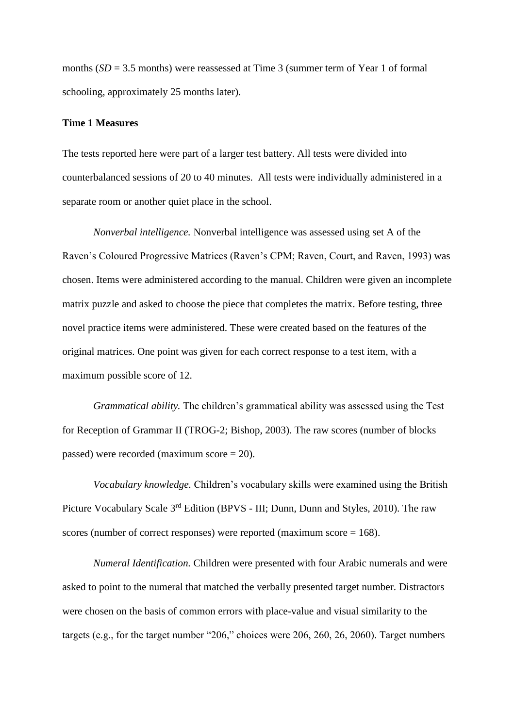months  $(SD = 3.5$  months) were reassessed at Time 3 (summer term of Year 1 of formal schooling, approximately 25 months later).

# **Time 1 Measures**

The tests reported here were part of a larger test battery. All tests were divided into counterbalanced sessions of 20 to 40 minutes. All tests were individually administered in a separate room or another quiet place in the school.

*Nonverbal intelligence.* Nonverbal intelligence was assessed using set A of the Raven's Coloured Progressive Matrices (Raven's CPM; Raven, Court, and Raven, 1993) was chosen. Items were administered according to the manual. Children were given an incomplete matrix puzzle and asked to choose the piece that completes the matrix. Before testing, three novel practice items were administered. These were created based on the features of the original matrices. One point was given for each correct response to a test item, with a maximum possible score of 12.

*Grammatical ability.* The children's grammatical ability was assessed using the Test for Reception of Grammar II (TROG-2; Bishop, 2003). The raw scores (number of blocks passed) were recorded (maximum score = 20).

*Vocabulary knowledge.* Children's vocabulary skills were examined using the British Picture Vocabulary Scale 3<sup>rd</sup> Edition (BPVS - III; Dunn, Dunn and Styles, 2010). The raw scores (number of correct responses) were reported (maximum score = 168).

*Numeral Identification.* Children were presented with four Arabic numerals and were asked to point to the numeral that matched the verbally presented target number. Distractors were chosen on the basis of common errors with place-value and visual similarity to the targets (e.g., for the target number "206," choices were 206, 260, 26, 2060). Target numbers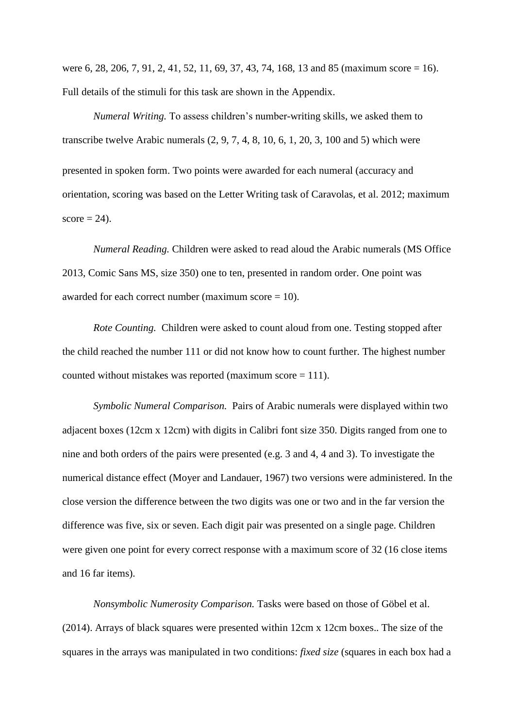were 6, 28, 206, 7, 91, 2, 41, 52, 11, 69, 37, 43, 74, 168, 13 and 85 (maximum score = 16). Full details of the stimuli for this task are shown in the Appendix.

*Numeral Writing.* To assess children's number-writing skills, we asked them to transcribe twelve Arabic numerals  $(2, 9, 7, 4, 8, 10, 6, 1, 20, 3, 100, 5)$  which were presented in spoken form. Two points were awarded for each numeral (accuracy and orientation, scoring was based on the Letter Writing task of Caravolas, et al. 2012; maximum  $score = 24$ .

*Numeral Reading.* Children were asked to read aloud the Arabic numerals (MS Office 2013, Comic Sans MS, size 350) one to ten, presented in random order. One point was awarded for each correct number (maximum score  $= 10$ ).

*Rote Counting.* Children were asked to count aloud from one. Testing stopped after the child reached the number 111 or did not know how to count further. The highest number counted without mistakes was reported (maximum score  $= 111$ ).

*Symbolic Numeral Comparison.* Pairs of Arabic numerals were displayed within two adjacent boxes (12cm x 12cm) with digits in Calibri font size 350. Digits ranged from one to nine and both orders of the pairs were presented (e.g. 3 and 4, 4 and 3). To investigate the numerical distance effect (Moyer and Landauer, 1967) two versions were administered. In the close version the difference between the two digits was one or two and in the far version the difference was five, six or seven. Each digit pair was presented on a single page. Children were given one point for every correct response with a maximum score of 32 (16 close items and 16 far items).

*Nonsymbolic Numerosity Comparison.* Tasks were based on those of Göbel et al. (2014). Arrays of black squares were presented within 12cm x 12cm boxes.. The size of the squares in the arrays was manipulated in two conditions: *fixed size* (squares in each box had a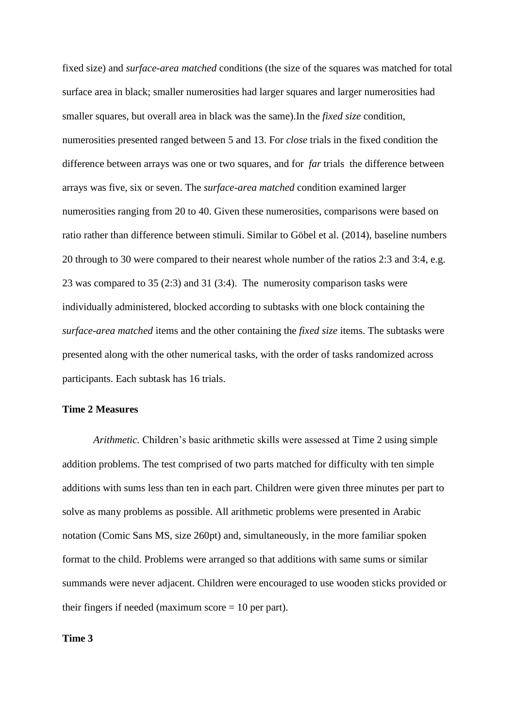fixed size) and *surface-area matched* conditions (the size of the squares was matched for total surface area in black; smaller numerosities had larger squares and larger numerosities had smaller squares, but overall area in black was the same).In the *fixed size* condition, numerosities presented ranged between 5 and 13. For *close* trials in the fixed condition the difference between arrays was one or two squares, and for *far* trials the difference between arrays was five, six or seven. The *surface-area matched* condition examined larger numerosities ranging from 20 to 40. Given these numerosities, comparisons were based on ratio rather than difference between stimuli. Similar to Göbel et al. (2014), baseline numbers 20 through to 30 were compared to their nearest whole number of the ratios 2:3 and 3:4, e.g. 23 was compared to 35 (2:3) and 31 (3:4). The numerosity comparison tasks were individually administered, blocked according to subtasks with one block containing the *surface-area matched* items and the other containing the *fixed size* items. The subtasks were presented along with the other numerical tasks, with the order of tasks randomized across participants. Each subtask has 16 trials.

# **Time 2 Measures**

*Arithmetic.* Children's basic arithmetic skills were assessed at Time 2 using simple addition problems. The test comprised of two parts matched for difficulty with ten simple additions with sums less than ten in each part. Children were given three minutes per part to solve as many problems as possible. All arithmetic problems were presented in Arabic notation (Comic Sans MS, size 260pt) and, simultaneously, in the more familiar spoken format to the child. Problems were arranged so that additions with same sums or similar summands were never adjacent. Children were encouraged to use wooden sticks provided or their fingers if needed (maximum score  $= 10$  per part).

# **Time 3**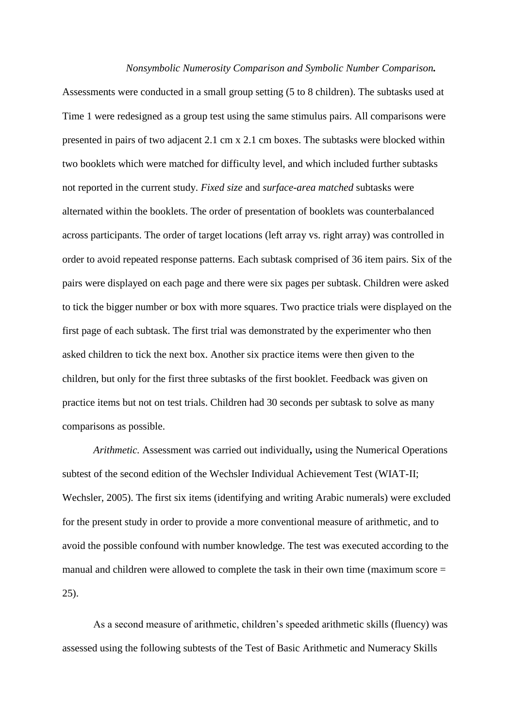#### *Nonsymbolic Numerosity Comparison and Symbolic Number Comparison.*

Assessments were conducted in a small group setting (5 to 8 children). The subtasks used at Time 1 were redesigned as a group test using the same stimulus pairs. All comparisons were presented in pairs of two adjacent 2.1 cm x 2.1 cm boxes. The subtasks were blocked within two booklets which were matched for difficulty level, and which included further subtasks not reported in the current study. *Fixed size* and *surface-area matched* subtasks were alternated within the booklets. The order of presentation of booklets was counterbalanced across participants. The order of target locations (left array vs. right array) was controlled in order to avoid repeated response patterns. Each subtask comprised of 36 item pairs. Six of the pairs were displayed on each page and there were six pages per subtask. Children were asked to tick the bigger number or box with more squares. Two practice trials were displayed on the first page of each subtask. The first trial was demonstrated by the experimenter who then asked children to tick the next box. Another six practice items were then given to the children, but only for the first three subtasks of the first booklet. Feedback was given on practice items but not on test trials. Children had 30 seconds per subtask to solve as many comparisons as possible.

*Arithmetic.* Assessment was carried out individually*,* using the Numerical Operations subtest of the second edition of the Wechsler Individual Achievement Test (WIAT-II; Wechsler, 2005). The first six items (identifying and writing Arabic numerals) were excluded for the present study in order to provide a more conventional measure of arithmetic, and to avoid the possible confound with number knowledge. The test was executed according to the manual and children were allowed to complete the task in their own time (maximum score = 25).

As a second measure of arithmetic, children's speeded arithmetic skills (fluency) was assessed using the following subtests of the Test of Basic Arithmetic and Numeracy Skills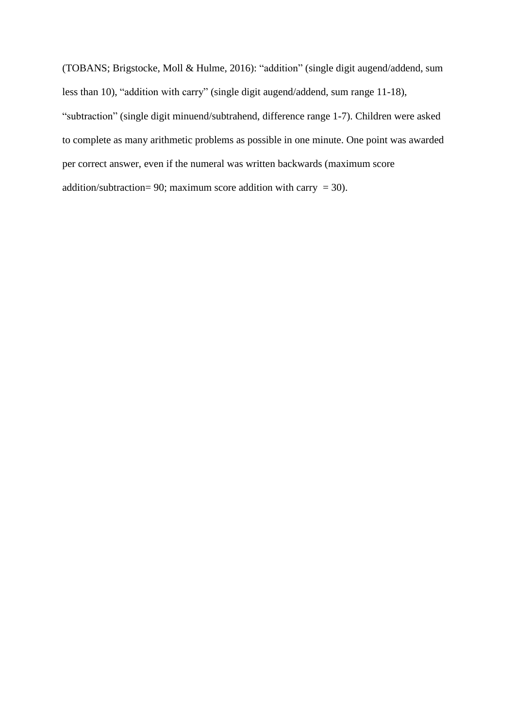(TOBANS; Brigstocke, Moll & Hulme, 2016): "addition" (single digit augend/addend, sum less than 10), "addition with carry" (single digit augend/addend, sum range 11-18), "subtraction" (single digit minuend/subtrahend, difference range 1-7). Children were asked to complete as many arithmetic problems as possible in one minute. One point was awarded per correct answer, even if the numeral was written backwards (maximum score addition/subtraction= 90; maximum score addition with carry = 30).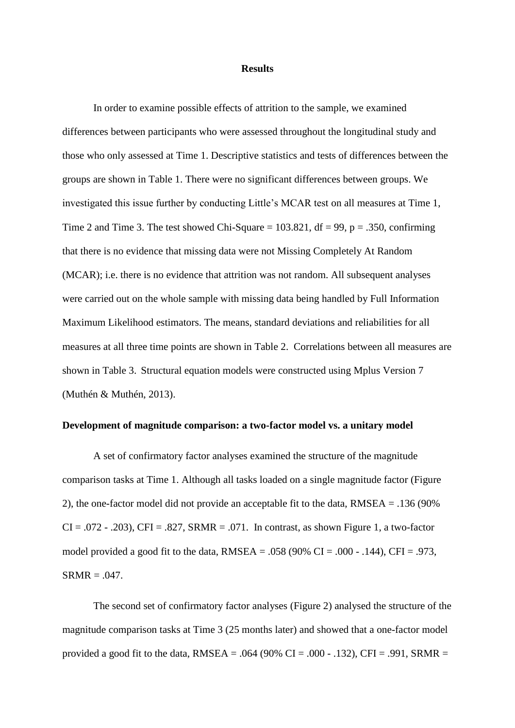#### **Results**

In order to examine possible effects of attrition to the sample, we examined differences between participants who were assessed throughout the longitudinal study and those who only assessed at Time 1. Descriptive statistics and tests of differences between the groups are shown in Table 1. There were no significant differences between groups. We investigated this issue further by conducting Little's MCAR test on all measures at Time 1, Time 2 and Time 3. The test showed Chi-Square =  $103.821$ , df = 99, p = .350, confirming that there is no evidence that missing data were not Missing Completely At Random (MCAR); i.e. there is no evidence that attrition was not random. All subsequent analyses were carried out on the whole sample with missing data being handled by Full Information Maximum Likelihood estimators. The means, standard deviations and reliabilities for all measures at all three time points are shown in Table 2. Correlations between all measures are shown in Table 3. Structural equation models were constructed using Mplus Version 7 (Muthén & Muthén, 2013).

# **Development of magnitude comparison: a two-factor model vs. a unitary model**

A set of confirmatory factor analyses examined the structure of the magnitude comparison tasks at Time 1. Although all tasks loaded on a single magnitude factor (Figure 2), the one-factor model did not provide an acceptable fit to the data, RMSEA = .136 (90%  $CI = .072 - .203$ ,  $CFI = .827$ ,  $SRMR = .071$ . In contrast, as shown Figure 1, a two-factor model provided a good fit to the data,  $RMSEA = .058$  (90% CI = .000 - .144), CFI = .973,  $SRMR = .047$ .

The second set of confirmatory factor analyses (Figure 2) analysed the structure of the magnitude comparison tasks at Time 3 (25 months later) and showed that a one-factor model provided a good fit to the data, RMSEA = .064 (90% CI = .000 - .132), CFI = .991, SRMR =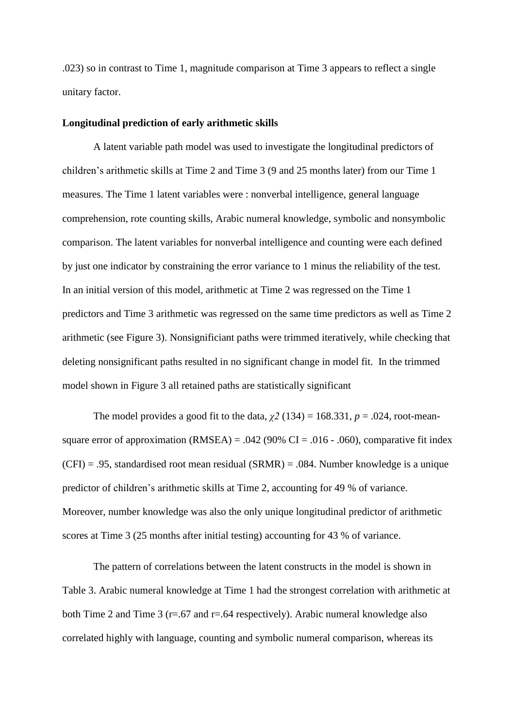.023) so in contrast to Time 1, magnitude comparison at Time 3 appears to reflect a single unitary factor.

#### **Longitudinal prediction of early arithmetic skills**

A latent variable path model was used to investigate the longitudinal predictors of children's arithmetic skills at Time 2 and Time 3 (9 and 25 months later) from our Time 1 measures. The Time 1 latent variables were : nonverbal intelligence, general language comprehension, rote counting skills, Arabic numeral knowledge, symbolic and nonsymbolic comparison. The latent variables for nonverbal intelligence and counting were each defined by just one indicator by constraining the error variance to 1 minus the reliability of the test. In an initial version of this model, arithmetic at Time 2 was regressed on the Time 1 predictors and Time 3 arithmetic was regressed on the same time predictors as well as Time 2 arithmetic (see Figure 3). Nonsignificiant paths were trimmed iteratively, while checking that deleting nonsignificant paths resulted in no significant change in model fit. In the trimmed model shown in Figure 3 all retained paths are statistically significant

The model provides a good fit to the data,  $\chi^2$  (134) = 168.331,  $p = .024$ , root-meansquare error of approximation (RMSEA) = .042 (90% CI = .016 - .060), comparative fit index  $(CFI) = .95$ , standardised root mean residual  $(SRMR) = .084$ . Number knowledge is a unique predictor of children's arithmetic skills at Time 2, accounting for 49 % of variance. Moreover, number knowledge was also the only unique longitudinal predictor of arithmetic scores at Time 3 (25 months after initial testing) accounting for 43 % of variance.

The pattern of correlations between the latent constructs in the model is shown in Table 3. Arabic numeral knowledge at Time 1 had the strongest correlation with arithmetic at both Time 2 and Time 3 ( $r = .67$  and  $r = .64$  respectively). Arabic numeral knowledge also correlated highly with language, counting and symbolic numeral comparison, whereas its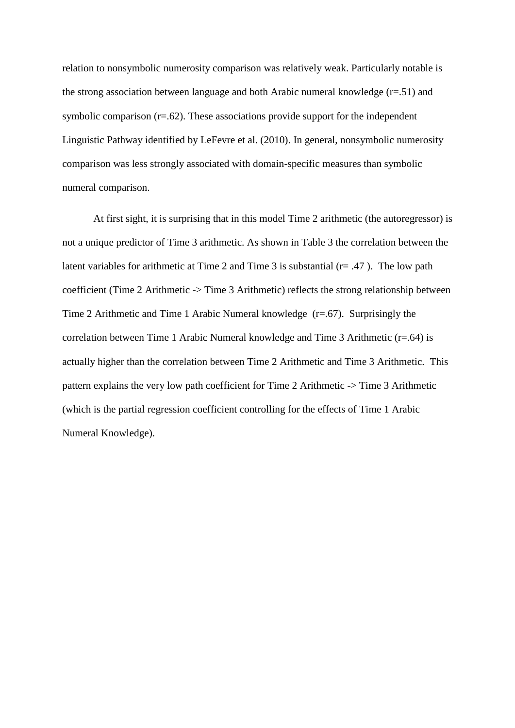relation to nonsymbolic numerosity comparison was relatively weak. Particularly notable is the strong association between language and both Arabic numeral knowledge  $(r=.51)$  and symbolic comparison  $(r=.62)$ . These associations provide support for the independent Linguistic Pathway identified by LeFevre et al. (2010). In general, nonsymbolic numerosity comparison was less strongly associated with domain-specific measures than symbolic numeral comparison.

At first sight, it is surprising that in this model Time 2 arithmetic (the autoregressor) is not a unique predictor of Time 3 arithmetic. As shown in Table 3 the correlation between the latent variables for arithmetic at Time 2 and Time 3 is substantial  $(r = .47)$ . The low path coefficient (Time 2 Arithmetic -> Time 3 Arithmetic) reflects the strong relationship between Time 2 Arithmetic and Time 1 Arabic Numeral knowledge (r=.67). Surprisingly the correlation between Time 1 Arabic Numeral knowledge and Time 3 Arithmetic (r=.64) is actually higher than the correlation between Time 2 Arithmetic and Time 3 Arithmetic. This pattern explains the very low path coefficient for Time 2 Arithmetic -> Time 3 Arithmetic (which is the partial regression coefficient controlling for the effects of Time 1 Arabic Numeral Knowledge).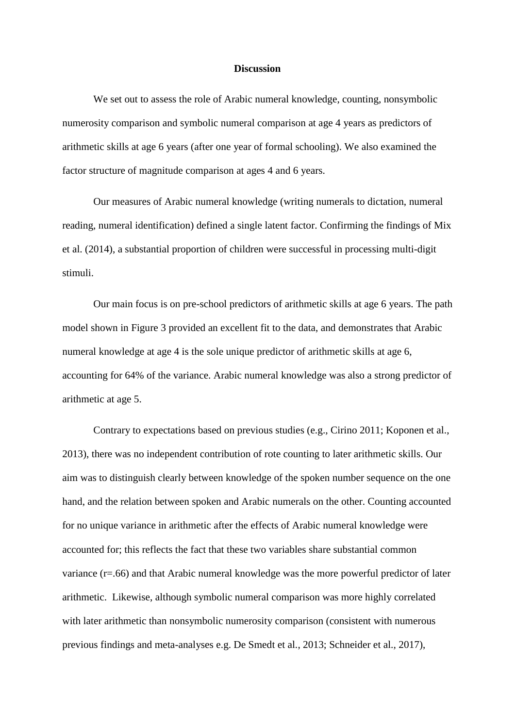#### **Discussion**

We set out to assess the role of Arabic numeral knowledge, counting, nonsymbolic numerosity comparison and symbolic numeral comparison at age 4 years as predictors of arithmetic skills at age 6 years (after one year of formal schooling). We also examined the factor structure of magnitude comparison at ages 4 and 6 years.

Our measures of Arabic numeral knowledge (writing numerals to dictation, numeral reading, numeral identification) defined a single latent factor. Confirming the findings of Mix et al. (2014), a substantial proportion of children were successful in processing multi-digit stimuli.

Our main focus is on pre-school predictors of arithmetic skills at age 6 years. The path model shown in Figure 3 provided an excellent fit to the data, and demonstrates that Arabic numeral knowledge at age 4 is the sole unique predictor of arithmetic skills at age 6, accounting for 64% of the variance. Arabic numeral knowledge was also a strong predictor of arithmetic at age 5.

Contrary to expectations based on previous studies (e.g., Cirino 2011; Koponen et al., 2013), there was no independent contribution of rote counting to later arithmetic skills. Our aim was to distinguish clearly between knowledge of the spoken number sequence on the one hand, and the relation between spoken and Arabic numerals on the other. Counting accounted for no unique variance in arithmetic after the effects of Arabic numeral knowledge were accounted for; this reflects the fact that these two variables share substantial common variance (r=.66) and that Arabic numeral knowledge was the more powerful predictor of later arithmetic. Likewise, although symbolic numeral comparison was more highly correlated with later arithmetic than nonsymbolic numerosity comparison (consistent with numerous previous findings and meta-analyses e.g. De Smedt et al., 2013; Schneider et al., 2017),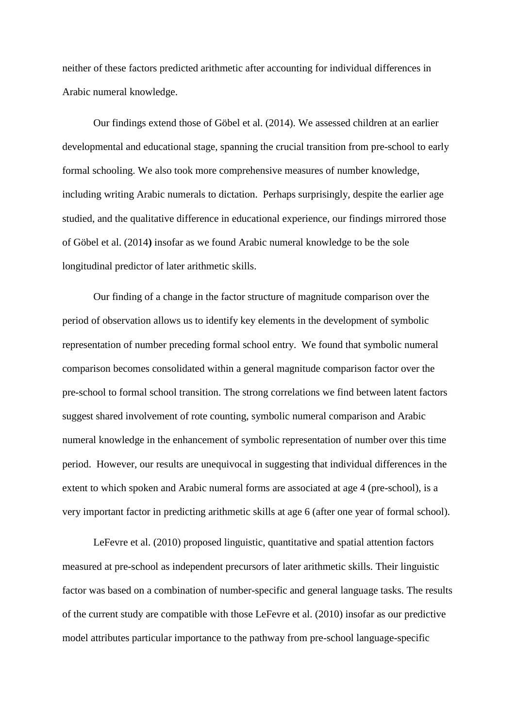neither of these factors predicted arithmetic after accounting for individual differences in Arabic numeral knowledge.

Our findings extend those of Göbel et al. (2014). We assessed children at an earlier developmental and educational stage, spanning the crucial transition from pre-school to early formal schooling. We also took more comprehensive measures of number knowledge, including writing Arabic numerals to dictation. Perhaps surprisingly, despite the earlier age studied, and the qualitative difference in educational experience, our findings mirrored those of Göbel et al. (2014**)** insofar as we found Arabic numeral knowledge to be the sole longitudinal predictor of later arithmetic skills.

Our finding of a change in the factor structure of magnitude comparison over the period of observation allows us to identify key elements in the development of symbolic representation of number preceding formal school entry. We found that symbolic numeral comparison becomes consolidated within a general magnitude comparison factor over the pre-school to formal school transition. The strong correlations we find between latent factors suggest shared involvement of rote counting, symbolic numeral comparison and Arabic numeral knowledge in the enhancement of symbolic representation of number over this time period. However, our results are unequivocal in suggesting that individual differences in the extent to which spoken and Arabic numeral forms are associated at age 4 (pre-school), is a very important factor in predicting arithmetic skills at age 6 (after one year of formal school).

LeFevre et al. (2010) proposed linguistic, quantitative and spatial attention factors measured at pre-school as independent precursors of later arithmetic skills. Their linguistic factor was based on a combination of number-specific and general language tasks. The results of the current study are compatible with those LeFevre et al. (2010) insofar as our predictive model attributes particular importance to the pathway from pre-school language-specific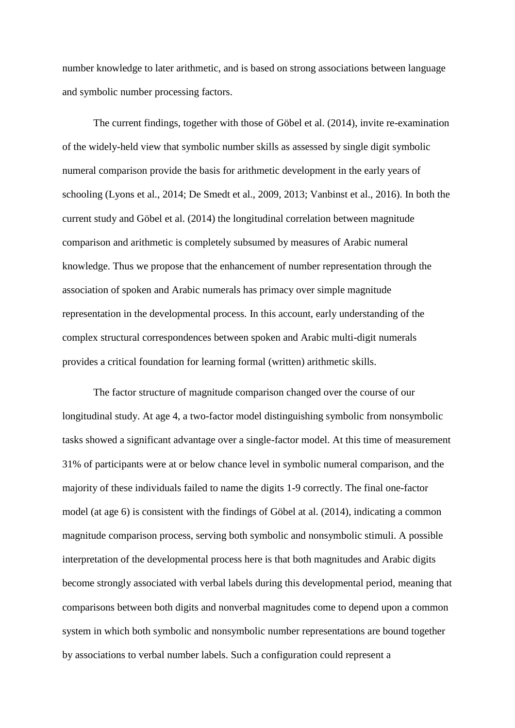number knowledge to later arithmetic, and is based on strong associations between language and symbolic number processing factors.

The current findings, together with those of Göbel et al. (2014), invite re-examination of the widely-held view that symbolic number skills as assessed by single digit symbolic numeral comparison provide the basis for arithmetic development in the early years of schooling (Lyons et al., 2014; De Smedt et al., 2009, 2013; Vanbinst et al., 2016). In both the current study and Göbel et al. (2014) the longitudinal correlation between magnitude comparison and arithmetic is completely subsumed by measures of Arabic numeral knowledge. Thus we propose that the enhancement of number representation through the association of spoken and Arabic numerals has primacy over simple magnitude representation in the developmental process. In this account, early understanding of the complex structural correspondences between spoken and Arabic multi-digit numerals provides a critical foundation for learning formal (written) arithmetic skills.

The factor structure of magnitude comparison changed over the course of our longitudinal study. At age 4, a two-factor model distinguishing symbolic from nonsymbolic tasks showed a significant advantage over a single-factor model. At this time of measurement 31% of participants were at or below chance level in symbolic numeral comparison, and the majority of these individuals failed to name the digits 1-9 correctly. The final one-factor model (at age 6) is consistent with the findings of Göbel at al. (2014), indicating a common magnitude comparison process, serving both symbolic and nonsymbolic stimuli. A possible interpretation of the developmental process here is that both magnitudes and Arabic digits become strongly associated with verbal labels during this developmental period, meaning that comparisons between both digits and nonverbal magnitudes come to depend upon a common system in which both symbolic and nonsymbolic number representations are bound together by associations to verbal number labels. Such a configuration could represent a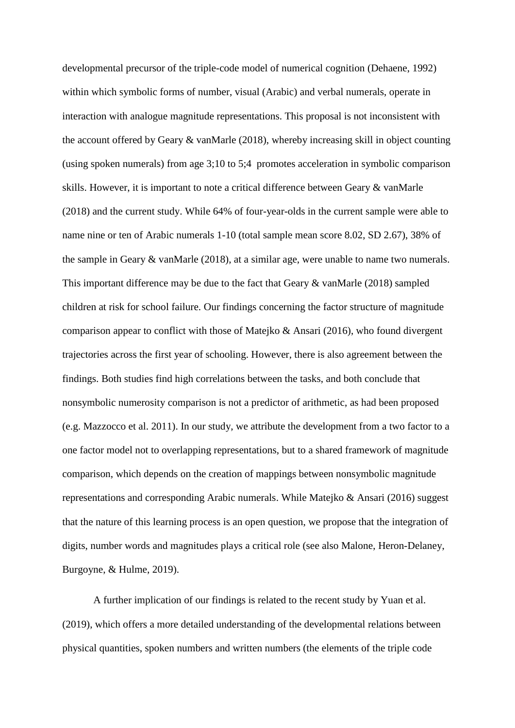developmental precursor of the triple-code model of numerical cognition (Dehaene, 1992) within which symbolic forms of number, visual (Arabic) and verbal numerals, operate in interaction with analogue magnitude representations. This proposal is not inconsistent with the account offered by Geary & vanMarle (2018), whereby increasing skill in object counting (using spoken numerals) from age 3;10 to 5;4 promotes acceleration in symbolic comparison skills. However, it is important to note a critical difference between Geary & vanMarle (2018) and the current study. While 64% of four-year-olds in the current sample were able to name nine or ten of Arabic numerals 1-10 (total sample mean score 8.02, SD 2.67), 38% of the sample in Geary & vanMarle (2018), at a similar age, were unable to name two numerals. This important difference may be due to the fact that Geary & vanMarle (2018) sampled children at risk for school failure. Our findings concerning the factor structure of magnitude comparison appear to conflict with those of Matejko & Ansari (2016), who found divergent trajectories across the first year of schooling. However, there is also agreement between the findings. Both studies find high correlations between the tasks, and both conclude that nonsymbolic numerosity comparison is not a predictor of arithmetic, as had been proposed (e.g. Mazzocco et al. 2011). In our study, we attribute the development from a two factor to a one factor model not to overlapping representations, but to a shared framework of magnitude comparison, which depends on the creation of mappings between nonsymbolic magnitude representations and corresponding Arabic numerals. While Matejko & Ansari (2016) suggest that the nature of this learning process is an open question, we propose that the integration of digits, number words and magnitudes plays a critical role (see also Malone, Heron-Delaney, Burgoyne, & Hulme, 2019).

A further implication of our findings is related to the recent study by Yuan et al. (2019), which offers a more detailed understanding of the developmental relations between physical quantities, spoken numbers and written numbers (the elements of the triple code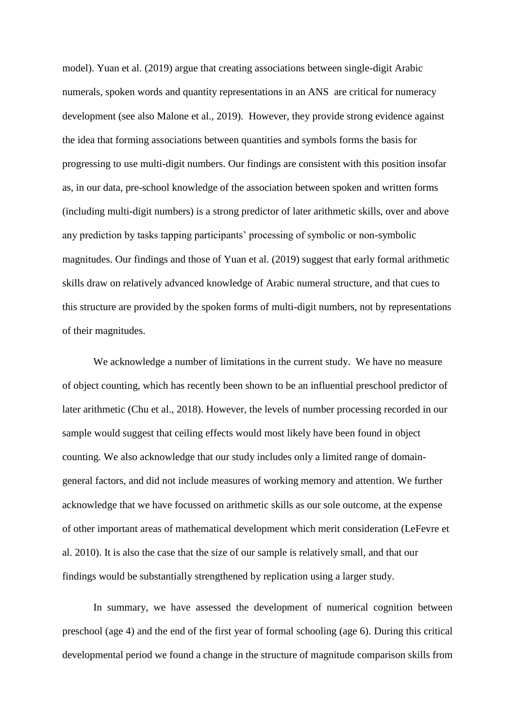model). Yuan et al. (2019) argue that creating associations between single-digit Arabic numerals, spoken words and quantity representations in an ANS are critical for numeracy development (see also Malone et al., 2019). However, they provide strong evidence against the idea that forming associations between quantities and symbols forms the basis for progressing to use multi-digit numbers. Our findings are consistent with this position insofar as, in our data, pre-school knowledge of the association between spoken and written forms (including multi-digit numbers) is a strong predictor of later arithmetic skills, over and above any prediction by tasks tapping participants' processing of symbolic or non-symbolic magnitudes. Our findings and those of Yuan et al. (2019) suggest that early formal arithmetic skills draw on relatively advanced knowledge of Arabic numeral structure, and that cues to this structure are provided by the spoken forms of multi-digit numbers, not by representations of their magnitudes.

We acknowledge a number of limitations in the current study. We have no measure of object counting, which has recently been shown to be an influential preschool predictor of later arithmetic (Chu et al., 2018). However, the levels of number processing recorded in our sample would suggest that ceiling effects would most likely have been found in object counting. We also acknowledge that our study includes only a limited range of domaingeneral factors, and did not include measures of working memory and attention. We further acknowledge that we have focussed on arithmetic skills as our sole outcome, at the expense of other important areas of mathematical development which merit consideration (LeFevre et al. 2010). It is also the case that the size of our sample is relatively small, and that our findings would be substantially strengthened by replication using a larger study.

In summary, we have assessed the development of numerical cognition between preschool (age 4) and the end of the first year of formal schooling (age 6). During this critical developmental period we found a change in the structure of magnitude comparison skills from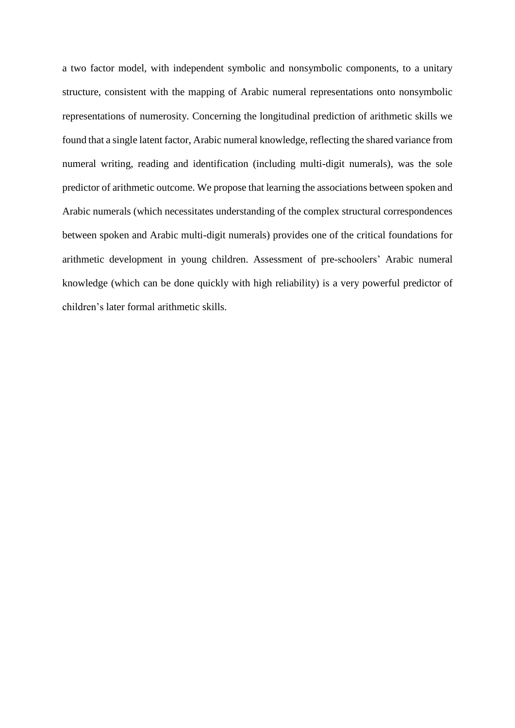a two factor model, with independent symbolic and nonsymbolic components, to a unitary structure, consistent with the mapping of Arabic numeral representations onto nonsymbolic representations of numerosity. Concerning the longitudinal prediction of arithmetic skills we found that a single latent factor, Arabic numeral knowledge, reflecting the shared variance from numeral writing, reading and identification (including multi-digit numerals), was the sole predictor of arithmetic outcome. We propose that learning the associations between spoken and Arabic numerals (which necessitates understanding of the complex structural correspondences between spoken and Arabic multi-digit numerals) provides one of the critical foundations for arithmetic development in young children. Assessment of pre-schoolers' Arabic numeral knowledge (which can be done quickly with high reliability) is a very powerful predictor of children's later formal arithmetic skills.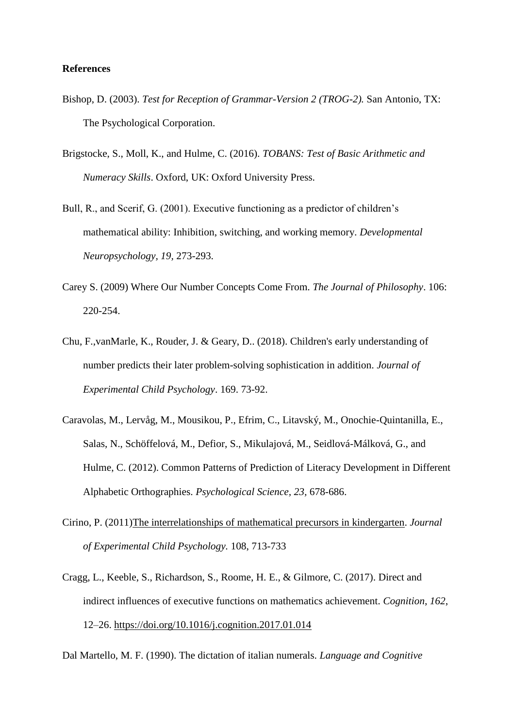# **References**

- Bishop, D. (2003). *Test for Reception of Grammar-Version 2 (TROG-2).* San Antonio, TX: The Psychological Corporation.
- Brigstocke, S., Moll, K., and Hulme, C. (2016). *TOBANS: Test of Basic Arithmetic and Numeracy Skills*. Oxford, UK: Oxford University Press.
- Bull, R., and Scerif, G. (2001). Executive functioning as a predictor of children's mathematical ability: Inhibition, switching, and working memory. *Developmental Neuropsychology, 19,* 273-293.
- Carey S. (2009) Where Our Number Concepts Come From. *The Journal of Philosophy*. 106: 220-254.
- Chu, F.,vanMarle, K., Rouder, J. & Geary, D.. (2018). Children's early understanding of number predicts their later problem-solving sophistication in addition. *Journal of Experimental Child Psychology*. 169. 73-92.
- Caravolas, M., Lervåg, M., Mousikou, P., Efrim, C., Litavský, M., Onochie-Quintanilla, E., Salas, N., Schöffelová, M., Defior, S., Mikulajová, M., Seidlová-Málková, G., and Hulme, C. (2012). Common Patterns of Prediction of Literacy Development in Different Alphabetic Orthographies. *Psychological Science, 23,* 678-686.
- Cirino, P. (2011[\)The interrelationships of mathematical precursors in kindergarten.](https://ucl-new-primo.hosted.exlibrisgroup.com/primo-explore/fulldisplay?docid=RS_600220965713lprecursorsinkindergarten&context=SP&vid=UCL_VU2&lang=en_US) *Journal of Experimental Child Psychology.* 108, 713-733
- Cragg, L., Keeble, S., Richardson, S., Roome, H. E., & Gilmore, C. (2017). Direct and indirect influences of executive functions on mathematics achievement. *Cognition*, *162*, 12–26.<https://doi.org/10.1016/j.cognition.2017.01.014>

Dal Martello, M. F. (1990). The dictation of italian numerals. *Language and Cognitive*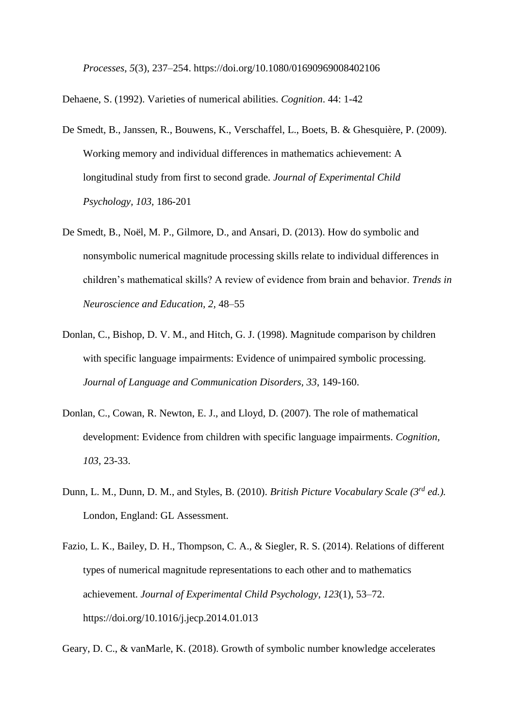*Processes*, *5*(3), 237–254. https://doi.org/10.1080/01690969008402106

Dehaene, S. (1992). Varieties of numerical abilities. *Cognition*. 44: 1-42

- De Smedt, B., Janssen, R., Bouwens, K., Verschaffel, L., Boets, B. & Ghesquière, P. (2009). Working memory and individual differences in mathematics achievement: A longitudinal study from first to second grade. *Journal of Experimental Child Psychology, 103,* 186-201
- De Smedt, B., Noël, M. P., Gilmore, D., and Ansari, D. (2013). How do symbolic and nonsymbolic numerical magnitude processing skills relate to individual differences in children's mathematical skills? A review of evidence from brain and behavior. *Trends in Neuroscience and Education, 2,* 48–55
- Donlan, C., Bishop, D. V. M., and Hitch, G. J. (1998). Magnitude comparison by children with specific language impairments: Evidence of unimpaired symbolic processing. *Journal of Language and Communication Disorders, 33*, 149-160.
- Donlan, C., Cowan, R. Newton, E. J., and Lloyd, D. (2007). The role of mathematical development: Evidence from children with specific language impairments. *Cognition, 103*, 23-33.
- Dunn, L. M., Dunn, D. M., and Styles, B. (2010). *British Picture Vocabulary Scale (3rd ed.).* London, England: GL Assessment.
- Fazio, L. K., Bailey, D. H., Thompson, C. A., & Siegler, R. S. (2014). Relations of different types of numerical magnitude representations to each other and to mathematics achievement. *Journal of Experimental Child Psychology*, *123*(1), 53–72. https://doi.org/10.1016/j.jecp.2014.01.013

Geary, D. C., & vanMarle, K. (2018). Growth of symbolic number knowledge accelerates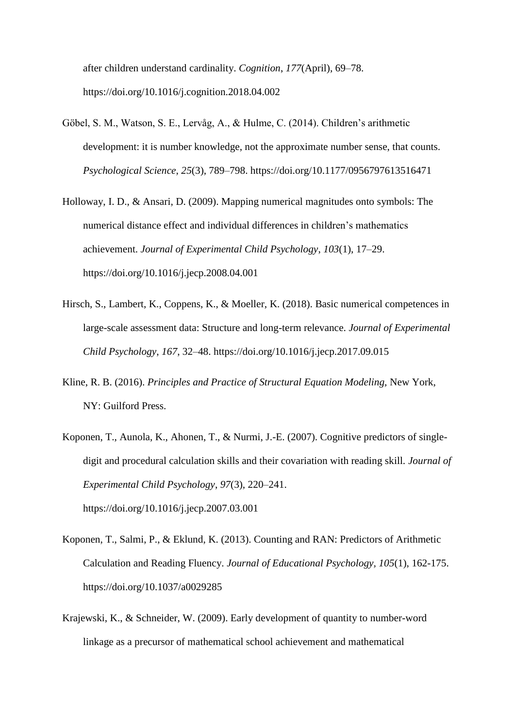after children understand cardinality. *Cognition*, *177*(April), 69–78. https://doi.org/10.1016/j.cognition.2018.04.002

- [Göbel, S. M., Watson, S. E., Lervåg, A., & Hulme, C. \(2014\). Children's arithmetic](http://paperpile.com/b/eByh91/nAMg)  [development: it is number knowledge, not the approximate number sense, that counts.](http://paperpile.com/b/eByh91/nAMg)  *[Psychological Science](http://paperpile.com/b/eByh91/nAMg)*[,](http://paperpile.com/b/eByh91/nAMg) *[25](http://paperpile.com/b/eByh91/nAMg)*[\(3\), 789–798. https://doi.org/](http://paperpile.com/b/eByh91/nAMg)[10.1177/0956797613516471](http://dx.doi.org/10.1177/0956797613516471)
- Holloway, I. D., & Ansari, D. (2009). Mapping numerical magnitudes onto symbols: The numerical distance effect and individual differences in children's mathematics achievement. *Journal of Experimental Child Psychology*, *103*(1), 17–29. https://doi.org/10.1016/j.jecp.2008.04.001
- [Hirsch, S., Lambert, K., Coppens, K., & Moeller, K. \(2018\). Basic numerical competences in](http://paperpile.com/b/eByh91/0J44)  [large-scale assessment data: Structure and long-term relevance.](http://paperpile.com/b/eByh91/0J44) *Journal of Experimental Child Psychology*[,](http://paperpile.com/b/eByh91/0J44) *[167](http://paperpile.com/b/eByh91/0J44)*[, 32–48. https://doi.org/10.1016/j.jecp.2017.09.015](http://paperpile.com/b/eByh91/0J44)
- Kline, R. B. (2016). *Principles and Practice of Structural Equation Modeling,* New York, NY: Guilford Press.
- [Koponen, T., Aunola, K., Ahonen, T., & Nurmi, J.-E. \(2007\). Cognitive predictors of single](http://paperpile.com/b/eByh91/rw0D)[digit and procedural calculation skills and their covariation with reading skill.](http://paperpile.com/b/eByh91/rw0D) *[Journal of](http://paperpile.com/b/eByh91/rw0D)  [Experimental Child Psychology](http://paperpile.com/b/eByh91/rw0D)*[,](http://paperpile.com/b/eByh91/rw0D) *[97](http://paperpile.com/b/eByh91/rw0D)*[\(3\), 220–241.](http://paperpile.com/b/eByh91/rw0D)  [https://doi.org/](http://paperpile.com/b/eByh91/rw0D)[10.1016/j.jecp.2007.03.001](http://dx.doi.org/10.1016/j.jecp.2007.03.001)
- [Koponen, T., Salmi, P., & Eklund, K. \(2013\). Counting and RAN: Predictors of Arithmetic](http://paperpile.com/b/eByh91/a0qN)  Calculation and Reading Fluency. *[Journal of Educational Psychology, 105](http://paperpile.com/b/eByh91/a0qN)*(1), 162-175. [https://doi.org/10.1037/a0029285](http://paperpile.com/b/eByh91/a0qN)
- [Krajewski, K., & Schneider, W. \(2009\). Early development of quantity to number-word](http://paperpile.com/b/eByh91/L1gI)  [linkage as a precursor of mathematical school achievement and mathematical](http://paperpile.com/b/eByh91/L1gI)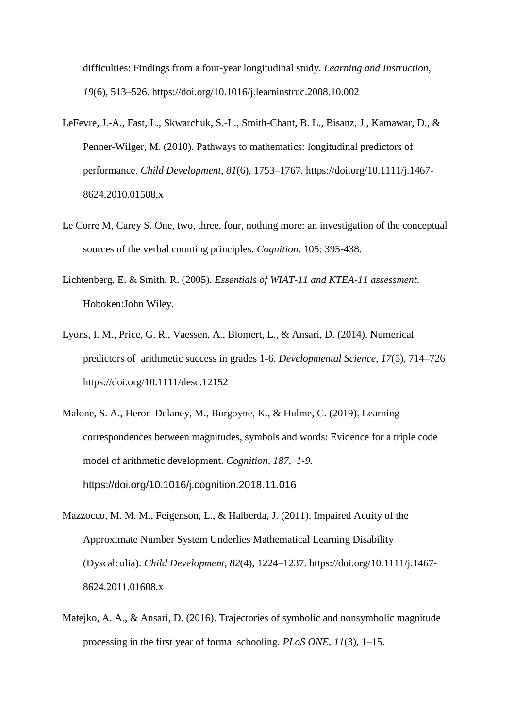[difficulties: Findings from a four-year longitudinal study.](http://paperpile.com/b/eByh91/L1gI) *[Learning and Instruction](http://paperpile.com/b/eByh91/L1gI)*[,](http://paperpile.com/b/eByh91/L1gI)  *[19](http://paperpile.com/b/eByh91/L1gI)*[\(6\), 513–526. https://doi.org/](http://paperpile.com/b/eByh91/L1gI)[10.1016/j.learninstruc.2008.10.002](http://dx.doi.org/10.1016/j.learninstruc.2008.10.002)

- [LeFevre, J.-A., Fast, L., Skwarchuk, S.-L., Smith-Chant, B. L., Bisanz, J., Kamawar, D., &](http://paperpile.com/b/eByh91/b73r)  [Penner-Wilger, M. \(2010\). Pathways to mathematics: longitudinal predictors of](http://paperpile.com/b/eByh91/b73r)  [performance.](http://paperpile.com/b/eByh91/b73r) *[Child Development](http://paperpile.com/b/eByh91/b73r)*[,](http://paperpile.com/b/eByh91/b73r) *[81](http://paperpile.com/b/eByh91/b73r)*[\(6\), 1753–1767. https://doi.org/10.1111/j.1467-](http://paperpile.com/b/eByh91/b73r) [8624.2010.01508.x](http://dx.doi.org/10.1111/j.1467-8624.2010.01508.x)
- [Le Corre M,](https://neurotree.org/beta/publications.php?pid=36827) Carey S. One, two, three, four, nothing more: an investigation of the conceptual sources of the verbal counting principles. *Cognition*. 105: 395-438.
- Lichtenberg, E. & Smith, R. (2005). *Essentials of WIAT-11 and KTEA-11 assessment*. Hoboken:John Wiley.
- Lyons, I. M., Price, G. R., Vaessen, A., Blomert, L., & Ansari, D. (2014). Numerical predictors of arithmetic success in grades 1-6. *[Developmental Science](http://paperpile.com/b/eByh91/TpLQ)*[,](http://paperpile.com/b/eByh91/TpLQ) *[17](http://paperpile.com/b/eByh91/TpLQ)*(5), 714–726 https://doi.org[/10.1111/desc.12152](http://dx.doi.org/10.1111/desc.12152)
- Malone, S. A., Heron-Delaney, M., Burgoyne, K., & Hulme, C. (2019). Learning correspondences between magnitudes, symbols and words: Evidence for a triple code model of arithmetic development. *Cognition, 187, 1-9.*  https://doi.org/10.1016/j.cognition.2018.11.016
- [Mazzocco, M. M. M., Feigenson, L., & Halberda, J. \(2011\). Impaired Acuity of the](http://paperpile.com/b/eByh91/9NR3)  [Approximate Number System Underlies Mathematical Learning Disability](http://paperpile.com/b/eByh91/9NR3)  [\(Dyscalculia\).](http://paperpile.com/b/eByh91/9NR3) *[Child Development](http://paperpile.com/b/eByh91/9NR3)*[,](http://paperpile.com/b/eByh91/9NR3) *[82](http://paperpile.com/b/eByh91/9NR3)*[\(4\), 1224–1237. https://doi.org/10.1111/j.1467-](http://paperpile.com/b/eByh91/9NR3) [8624.2011.01608.x](http://dx.doi.org/10.1111/j.1467-8624.2011.01608.x)
- Matejko, A. A., & Ansari, D. (2016). Trajectories of symbolic and nonsymbolic magnitude processing in the first year of formal schooling. *PLoS ONE*, *11*(3), 1–15.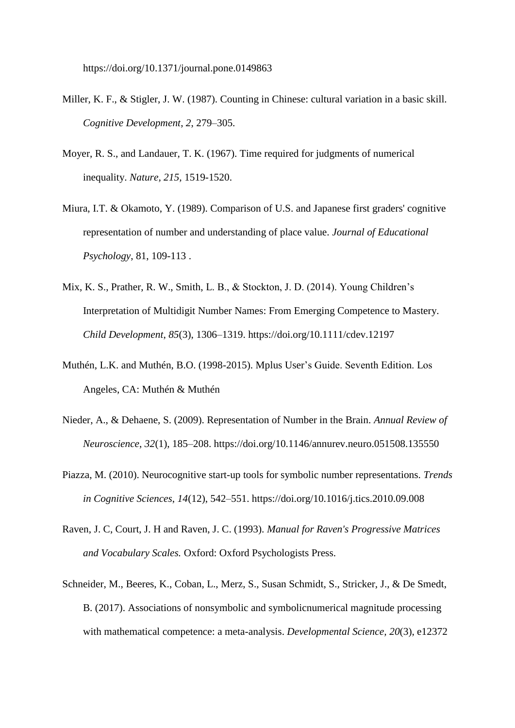https://doi.org/10.1371/journal.pone.0149863

- Miller, K. F., & Stigler, J. W. (1987). Counting in Chinese: cultural variation in a basic skill. *Cognitive Development*, *2*, 279–305.
- Moyer, R. S., and Landauer, T. K. (1967). Time required for judgments of numerical inequality. *Nature, 215,* 1519-1520.
- Miura, I.T. & Okamoto, Y. (1989). Comparison of U.S. and Japanese first graders' cognitive representation of number and understanding of place value. *Journal of Educational Psychology*, 81, 109-113 .
- Mix, K. S., Prather, R. W., Smith, L. B., & Stockton, J. D. (2014). Young Children's Interpretation of Multidigit Number Names: From Emerging Competence to Mastery. *Child Development*, *85*(3), 1306–1319. https://doi.org/10.1111/cdev.12197
- Muthén, L.K. and Muthén, B.O. (1998-2015). Mplus User's Guide. Seventh Edition. Los Angeles, CA: Muthén & Muthén
- [Nieder, A., & Dehaene, S. \(2009\). Representation of Number in the Brain.](http://paperpile.com/b/eByh91/uxcl) *[Annual Review of](http://paperpile.com/b/eByh91/uxcl)  [Neuroscience](http://paperpile.com/b/eByh91/uxcl)*[,](http://paperpile.com/b/eByh91/uxcl) *[32](http://paperpile.com/b/eByh91/uxcl)*[\(1\), 185–208. https://doi.org/](http://paperpile.com/b/eByh91/uxcl)[10.1146/annurev.neuro.051508.135550](http://dx.doi.org/10.1146/annurev.neuro.051508.135550)
- [Piazza, M. \(2010\). Neurocognitive start-up tools for symbolic number representations.](http://paperpile.com/b/eByh91/tnH1) *[Trends](http://paperpile.com/b/eByh91/tnH1)  [in Cognitive Sciences](http://paperpile.com/b/eByh91/tnH1)*[,](http://paperpile.com/b/eByh91/tnH1) *[14](http://paperpile.com/b/eByh91/tnH1)*[\(12\), 542–551. https://doi.org/](http://paperpile.com/b/eByh91/tnH1)[10.1016/j.tics.2010.09.008](http://dx.doi.org/10.1016/j.tics.2010.09.008)
- Raven, J. C, Court, J. H and Raven, J. C. (1993). *Manual for Raven's Progressive Matrices and Vocabulary Scales.* Oxford: Oxford Psychologists Press.
- [Schneider, M., Beeres, K., Coban, L., Merz, S., Susan Schmidt, S., Stricker, J., & De Smedt,](http://paperpile.com/b/eByh91/IcUy)  B. (2017). Associations of nonsymbolic [and symbolicnumerical magnitude processing](http://paperpile.com/b/eByh91/IcUy)  [with mathematical competence: a meta-analysis.](http://paperpile.com/b/eByh91/IcUy) *[Developmental Science,](http://paperpile.com/b/eByh91/IcUy) 20*(3), e12372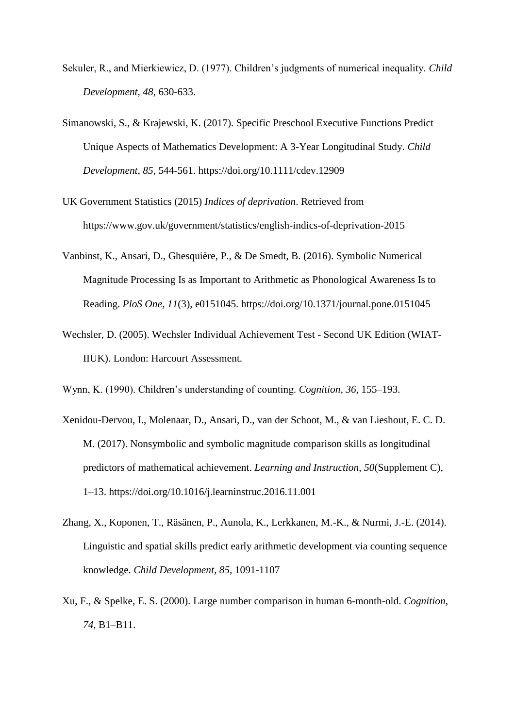- Sekuler, R., and Mierkiewicz, D. (1977). Children's judgments of numerical inequality. *Child Development, 48,* 630-633.
- Simanowski, S., & Krajewski, K. (2017). Specific Preschool Executive Functions Predict Unique Aspects of Mathematics Development: A 3-Year Longitudinal Study. *Child Development*, *85,* 544-561. https://doi.org/10.1111/cdev.12909
- UK Government Statistics (2015) *Indices of deprivation*. Retrieved from https://www.gov.uk/government/statistics/english-indics-of-deprivation-2015
- [Vanbinst, K., Ansari, D., Ghesquière, P., & De Smedt, B. \(2016\). Symbolic Numerical](http://paperpile.com/b/eByh91/VNPs)  [Magnitude Processing Is as Important to Arithmetic as Phonological Awareness Is to](http://paperpile.com/b/eByh91/VNPs)  [Reading.](http://paperpile.com/b/eByh91/VNPs) *[PloS One](http://paperpile.com/b/eByh91/VNPs)*[,](http://paperpile.com/b/eByh91/VNPs) *[11](http://paperpile.com/b/eByh91/VNPs)*[\(3\), e0151045. https://doi.org/10.1371/journal.pone.0151045](http://paperpile.com/b/eByh91/VNPs)
- Wechsler, D. (2005). Wechsler Individual Achievement Test Second UK Edition (WIAT-IIUK). London: Harcourt Assessment.

Wynn, K. (1990). Children's understanding of counting. *Cognition*, *36*, 155–193.

- [Xenidou-Dervou, I., Molenaar, D., Ansari, D., van der Schoot, M., & van Lieshout, E. C. D.](http://paperpile.com/b/eByh91/41k9)  M. (2017). Nonsymbolic [and symbolic magnitude comparison skills as longitudinal](http://paperpile.com/b/eByh91/41k9)  [predictors of mathematical achievement.](http://paperpile.com/b/eByh91/41k9) *[Learning and Instruction](http://paperpile.com/b/eByh91/41k9)*[,](http://paperpile.com/b/eByh91/41k9) *[50](http://paperpile.com/b/eByh91/41k9)*[\(Supplement C\),](http://paperpile.com/b/eByh91/41k9)  [1–13. https://doi.org/](http://paperpile.com/b/eByh91/41k9)[10.1016/j.learninstruc.2016.11.001](http://dx.doi.org/10.1016/j.learninstruc.2016.11.001)
- Zhang, X., Koponen, T., Räsänen, P., Aunola, K., Lerkkanen, M.-K., & Nurmi, J.-E. (2014). Linguistic and spatial skills predict early arithmetic development via counting sequence knowledge. *Child Development, 85,* 1091-1107
- Xu, F., & Spelke, E. S. (2000). Large number comparison in human 6-month-old. *Cognition*, *74*, B1–B11.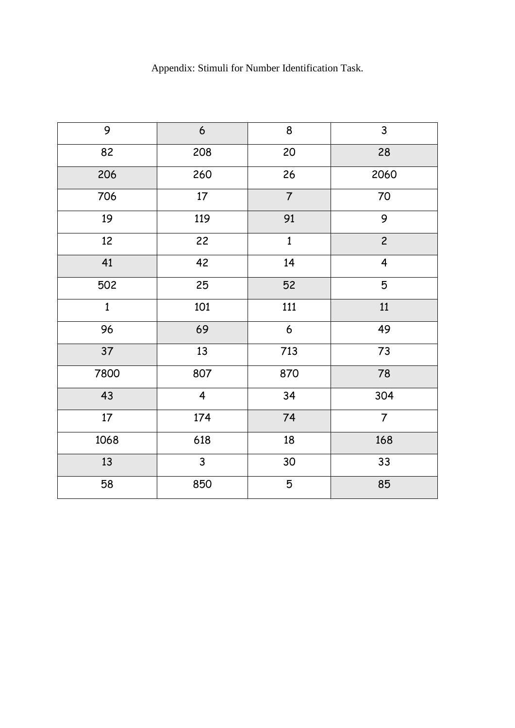# Appendix: Stimuli for Number Identification Task.

| 9            | $\boldsymbol{6}$        | $\bf 8$          | 3                       |
|--------------|-------------------------|------------------|-------------------------|
| 82           | 208                     | 20               | 28                      |
| 206          | 260                     | 26               | 2060                    |
| 706          | $17\,$                  | $\overline{7}$   | 70                      |
| 19           | 119                     | 91               | 9                       |
| 12           | 22                      | $\mathbf{1}$     | $\overline{c}$          |
| 41           | 42                      | 14               | $\overline{\mathbf{4}}$ |
| 502          | 25                      | 52               | 5                       |
| $\mathbf{1}$ | 101                     | 111              | 11                      |
| 96           | 69                      | $\boldsymbol{6}$ | 49                      |
| 37           | 13                      | 713              | 73                      |
| 7800         | 807                     | 870              | 78                      |
| 43           | $\overline{\mathbf{4}}$ | 34               | 304                     |
| $17$         | 174                     | 74               | $\overline{7}$          |
| 1068         | 618                     | 18               | 168                     |
| 13           | $\mathsf{3}$            | 30               | 33                      |
| 58           | 850                     | 5                | 85                      |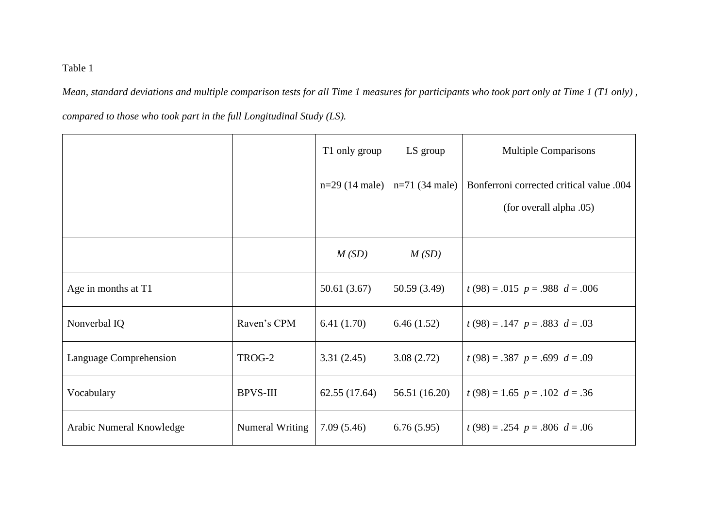Table 1

*Mean, standard deviations and multiple comparison tests for all Time 1 measures for participants who took part only at Time 1 (T1 only) ,* 

*compared to those who took part in the full Longitudinal Study (LS).*

|                          |                 | T1 only group    | LS group         | <b>Multiple Comparisons</b>              |
|--------------------------|-----------------|------------------|------------------|------------------------------------------|
|                          |                 | $n=29$ (14 male) | $n=71$ (34 male) | Bonferroni corrected critical value .004 |
|                          |                 |                  |                  | (for overall alpha .05)                  |
|                          |                 | M(SD)            | M(SD)            |                                          |
| Age in months at T1      |                 | 50.61(3.67)      | 50.59(3.49)      | $t(98) = .015$ $p = .988$ $d = .006$     |
| Nonverbal IQ             | Raven's CPM     | 6.41(1.70)       | 6.46(1.52)       | $t(98) = .147$ $p = .883$ $d = .03$      |
| Language Comprehension   | TROG-2          | 3.31(2.45)       | 3.08(2.72)       | $t(98) = .387$ $p = .699$ $d = .09$      |
| Vocabulary               | <b>BPVS-III</b> | 62.55(17.64)     | 56.51 (16.20)    | $t(98) = 1.65$ $p = .102$ $d = .36$      |
| Arabic Numeral Knowledge | Numeral Writing | 7.09(5.46)       | 6.76(5.95)       | $t(98) = .254$ $p = .806$ $d = .06$      |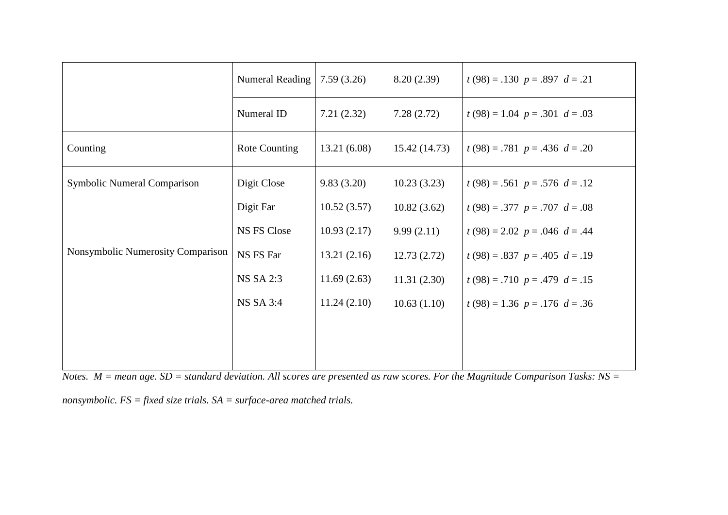|                                   | Numeral Reading  | 7.59(3.26)  | 8.20(2.39)   | $t(98) = .130 p = .897 d = .21$     |
|-----------------------------------|------------------|-------------|--------------|-------------------------------------|
|                                   | Numeral ID       | 7.21(2.32)  | 7.28(2.72)   | $t(98) = 1.04$ $p = .301$ $d = .03$ |
| Counting                          | Rote Counting    | 13.21(6.08) | 15.42(14.73) | $t(98) = .781$ $p = .436$ $d = .20$ |
| Symbolic Numeral Comparison       | Digit Close      | 9.83(3.20)  | 10.23(3.23)  | $t(98) = .561$ $p = .576$ $d = .12$ |
| Nonsymbolic Numerosity Comparison | Digit Far        | 10.52(3.57) | 10.82(3.62)  | $t(98) = .377$ $p = .707$ $d = .08$ |
|                                   | NS FS Close      | 10.93(2.17) | 9.99(2.11)   | $t(98) = 2.02$ $p = .046$ $d = .44$ |
|                                   | NS FS Far        | 13.21(2.16) | 12.73(2.72)  | $t(98) = .837$ $p = .405$ $d = .19$ |
|                                   | <b>NS SA 2:3</b> | 11.69(2.63) | 11.31(2.30)  | $t(98) = .710 p = .479 d = .15$     |
|                                   | <b>NS SA 3:4</b> | 11.24(2.10) | 10.63(1.10)  | $t(98) = 1.36$ $p = .176$ $d = .36$ |
|                                   |                  |             |              |                                     |
|                                   |                  |             |              |                                     |

*Notes. M = mean age. SD = standard deviation. All scores are presented as raw scores. For the Magnitude Comparison Tasks: NS =* 

*nonsymbolic. FS = fixed size trials. SA = surface-area matched trials.*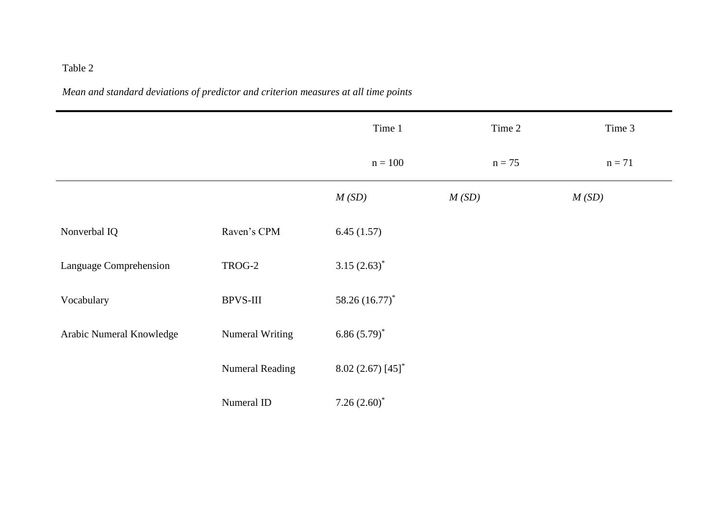# Table 2

*Mean and standard deviations of predictor and criterion measures at all time points*

|                          |                        | Time 1                        | Time 2   | Time 3   |
|--------------------------|------------------------|-------------------------------|----------|----------|
|                          |                        | $n = 100$                     | $n = 75$ | $n = 71$ |
|                          |                        | M(SD)                         | M(SD)    | M(SD)    |
| Nonverbal IQ             | Raven's CPM            | 6.45(1.57)                    |          |          |
| Language Comprehension   | TROG-2                 | 3.15 $(2.63)^*$               |          |          |
| Vocabulary               | <b>BPVS-III</b>        | 58.26 (16.77)*                |          |          |
| Arabic Numeral Knowledge | Numeral Writing        | $6.86(5.79)^{*}$              |          |          |
|                          | <b>Numeral Reading</b> | $8.02(2.67)[45]$ <sup>*</sup> |          |          |
|                          | Numeral ID             | 7.26 $(2.60)^*$               |          |          |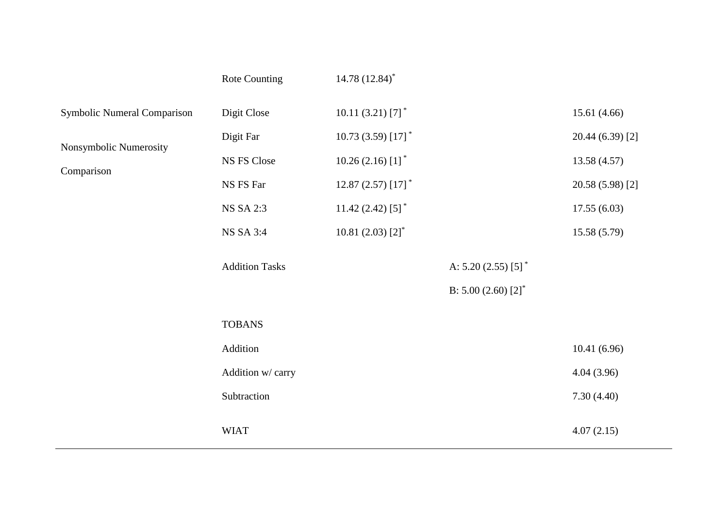|                                                                     | Rote Counting                                                            | 14.78 $(12.84)$ <sup>*</sup>                                                                                                                                              |                                 |                                                                                   |  |
|---------------------------------------------------------------------|--------------------------------------------------------------------------|---------------------------------------------------------------------------------------------------------------------------------------------------------------------------|---------------------------------|-----------------------------------------------------------------------------------|--|
| Symbolic Numeral Comparison<br>Nonsymbolic Numerosity<br>Comparison | Digit Close<br>Digit Far<br>NS FS Close<br>NS FS Far<br><b>NS SA 2:3</b> | 10.11 $(3.21)$ [7] <sup>*</sup><br>10.73 (3.59) [17] <sup>*</sup><br>$10.26(2.16)[1]$ <sup>*</sup><br>12.87 (2.57) $[17]$ <sup>*</sup><br>11.42 $(2.42)$ [5] <sup>*</sup> |                                 | 15.61(4.66)<br>20.44 (6.39) [2]<br>13.58(4.57)<br>20.58 (5.98) [2]<br>17.55(6.03) |  |
|                                                                     | NS SA 3:4                                                                | 10.81 (2.03) $[2]$ <sup>*</sup>                                                                                                                                           |                                 | 15.58(5.79)                                                                       |  |
|                                                                     | <b>Addition Tasks</b>                                                    |                                                                                                                                                                           | A: $5.20(2.55)[5]$ <sup>*</sup> |                                                                                   |  |
|                                                                     |                                                                          |                                                                                                                                                                           | B: $5.00(2.60)[2]^*$            |                                                                                   |  |
|                                                                     | <b>TOBANS</b>                                                            |                                                                                                                                                                           |                                 |                                                                                   |  |
|                                                                     | Addition                                                                 |                                                                                                                                                                           |                                 | 10.41(6.96)                                                                       |  |
|                                                                     | Addition w/ carry                                                        |                                                                                                                                                                           |                                 | 4.04(3.96)                                                                        |  |
|                                                                     | Subtraction                                                              |                                                                                                                                                                           |                                 | 7.30(4.40)                                                                        |  |
|                                                                     | <b>WIAT</b>                                                              |                                                                                                                                                                           |                                 | 4.07(2.15)                                                                        |  |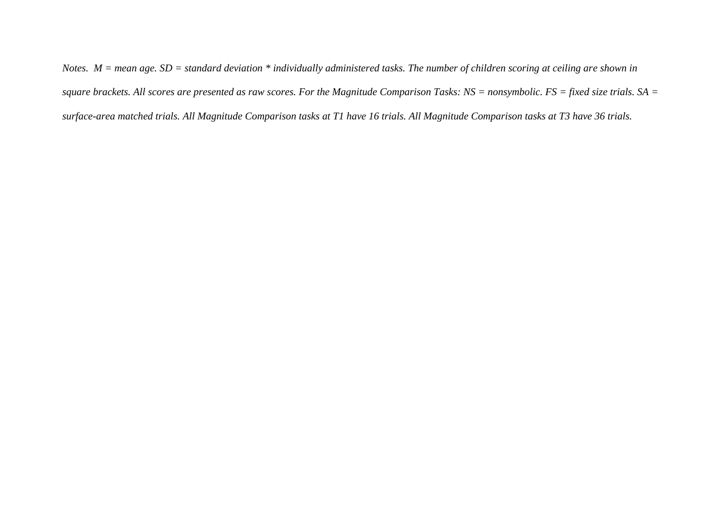*Notes. M = mean age. SD = standard deviation \* individually administered tasks. The number of children scoring at ceiling are shown in square brackets. All scores are presented as raw scores. For the Magnitude Comparison Tasks: NS = nonsymbolic. FS = fixed size trials. SA = surface-area matched trials. All Magnitude Comparison tasks at T1 have 16 trials. All Magnitude Comparison tasks at T3 have 36 trials.*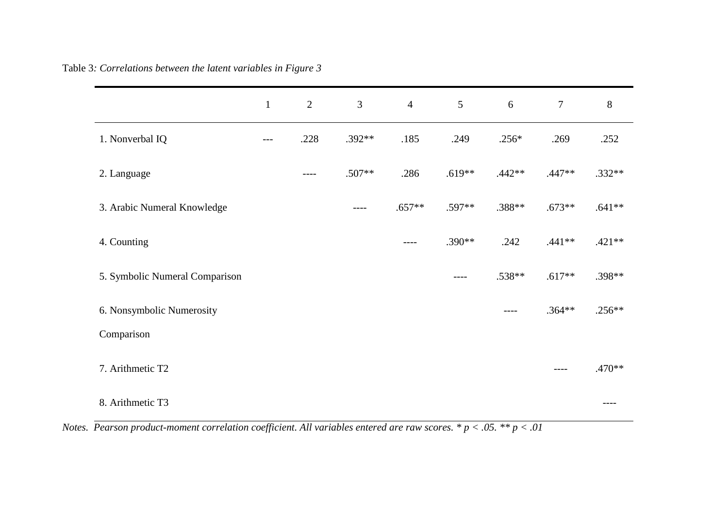| Table 3: Correlations between the latent variables in Figure 3 |  |  |  |
|----------------------------------------------------------------|--|--|--|
|----------------------------------------------------------------|--|--|--|

|                                | $\mathbf{1}$ | $\overline{2}$ | 3         | $\overline{4}$ | 5        | 6        | $\boldsymbol{7}$ | $8\,$    |
|--------------------------------|--------------|----------------|-----------|----------------|----------|----------|------------------|----------|
| 1. Nonverbal IQ                | $---$        | .228           | .392**    | .185           | .249     | $.256*$  | .269             | .252     |
| 2. Language                    |              | $---$          | .507**    | .286           | $.619**$ | $.442**$ | $.447**$         | $.332**$ |
| 3. Arabic Numeral Knowledge    |              |                | $- - - -$ | $.657**$       | $.597**$ | .388**   | $.673**$         | $.641**$ |
| 4. Counting                    |              |                |           | $--- -$        | .390**   | .242     | $.441**$         | $.421**$ |
| 5. Symbolic Numeral Comparison |              |                |           |                | $---$    | .538**   | $.617**$         | .398**   |
| 6. Nonsymbolic Numerosity      |              |                |           |                |          | ----     | $.364**$         | $.256**$ |
| Comparison                     |              |                |           |                |          |          |                  |          |
| 7. Arithmetic T2               |              |                |           |                |          |          | ----             | $.470**$ |
| 8. Arithmetic T3               |              |                |           |                |          |          |                  |          |

*Notes. Pearson product-moment correlation coefficient. All variables entered are raw scores. \* p < .05. \*\* p < .01*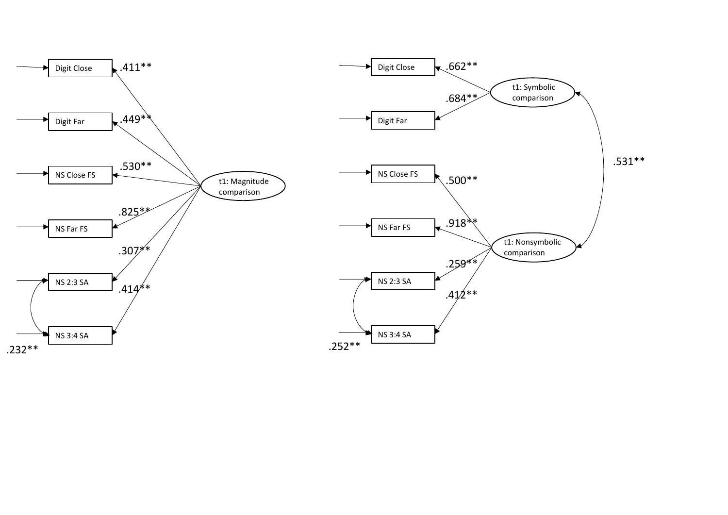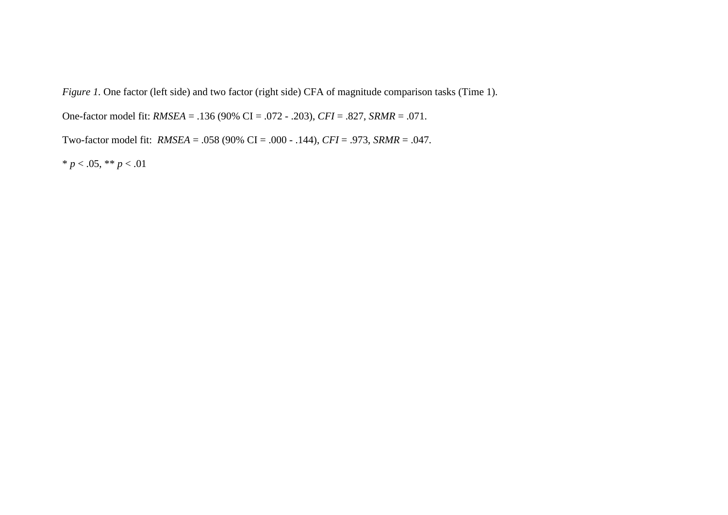*Figure 1.* One factor (left side) and two factor (right side) CFA of magnitude comparison tasks (Time 1).

One-factor model fit: *RMSEA* = .136 (90% CI = .072 - .203), *CFI* = .827, *SRMR* = .071.

Two-factor model fit: *RMSEA* = .058 (90% CI = .000 - .144), *CFI* = .973, *SRMR* = .047.

\* *p* < .05, \*\* *p* < .01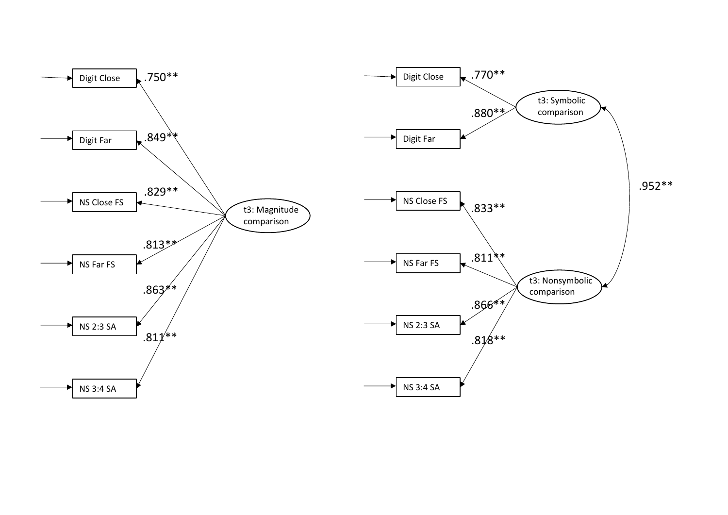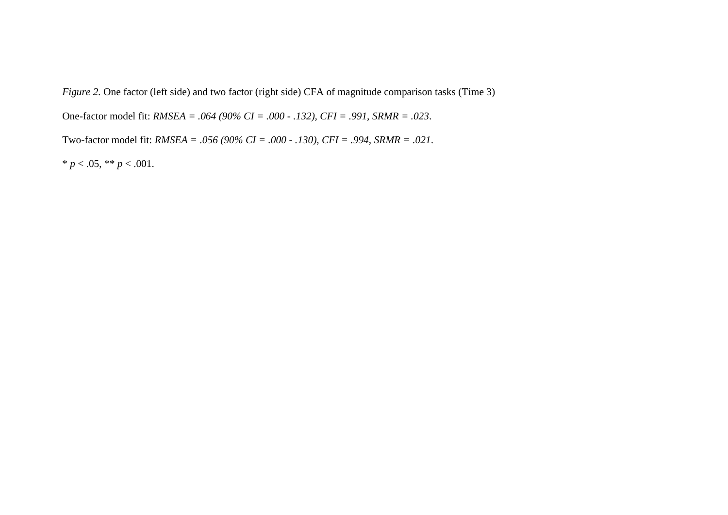*Figure 2.* One factor (left side) and two factor (right side) CFA of magnitude comparison tasks (Time 3)

One-factor model fit: *RMSEA = .064 (90% CI = .000 - .132), CFI = .991, SRMR = .023*.

Two-factor model fit: *RMSEA = .056 (90% CI = .000 - .130), CFI = .994, SRMR = .021*.

\*  $p < .05$ , \*\*  $p < .001$ .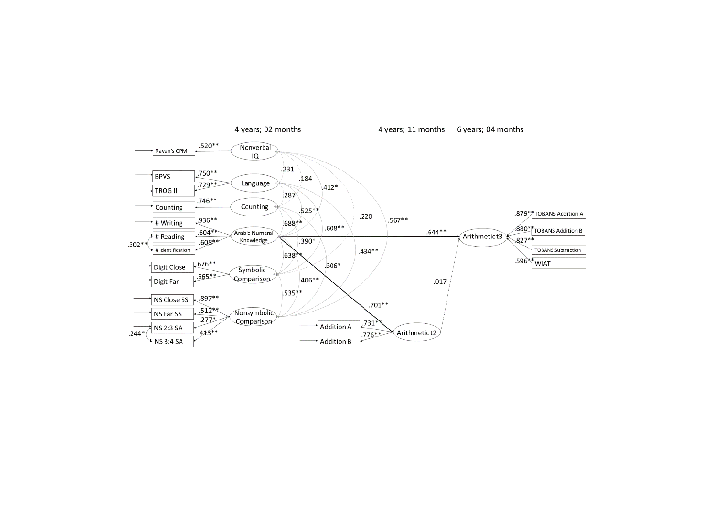